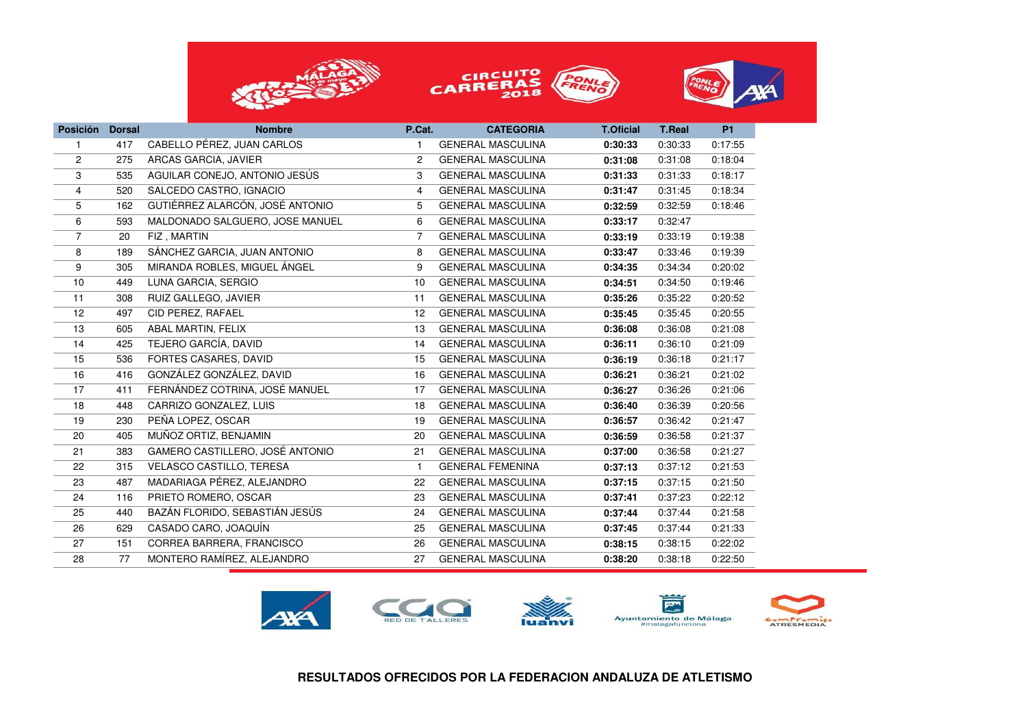





| <b>Posición</b> | <b>Dorsal</b> | <b>Nombre</b>                   | P.Cat.         | <b>CATEGORIA</b>         | <b>T.Oficial</b> | <b>T.Real</b> | <b>P1</b> |  |
|-----------------|---------------|---------------------------------|----------------|--------------------------|------------------|---------------|-----------|--|
| 1               | 417           | CABELLO PÉREZ, JUAN CARLOS      | -1             | <b>GENERAL MASCULINA</b> | 0:30:33          | 0:30:33       | 0:17:55   |  |
| $\overline{2}$  | 275           | ARCAS GARCIA, JAVIER            | $\overline{2}$ | <b>GENERAL MASCULINA</b> | 0:31:08          | 0:31:08       | 0:18:04   |  |
| 3               | 535           | AGUILAR CONEJO, ANTONIO JESÚS   | 3              | <b>GENERAL MASCULINA</b> | 0:31:33          | 0:31:33       | 0:18:17   |  |
| 4               | 520           | SALCEDO CASTRO, IGNACIO         | 4              | <b>GENERAL MASCULINA</b> | 0:31:47          | 0:31:45       | 0:18:34   |  |
| 5               | 162           | GUTIÉRREZ ALARCÓN, JOSÉ ANTONIO | 5              | <b>GENERAL MASCULINA</b> | 0:32:59          | 0:32:59       | 0:18:46   |  |
| 6               | 593           | MALDONADO SALGUERO, JOSE MANUEL | 6              | <b>GENERAL MASCULINA</b> | 0:33:17          | 0:32:47       |           |  |
| $\overline{7}$  | 20            | FIZ, MARTIN                     | 7              | <b>GENERAL MASCULINA</b> | 0:33:19          | 0:33:19       | 0:19:38   |  |
| 8               | 189           | SÁNCHEZ GARCIA, JUAN ANTONIO    | 8              | <b>GENERAL MASCULINA</b> | 0:33:47          | 0:33:46       | 0:19:39   |  |
| 9               | 305           | MIRANDA ROBLES, MIGUEL ÁNGEL    | 9              | <b>GENERAL MASCULINA</b> | 0:34:35          | 0:34:34       | 0:20:02   |  |
| 10              | 449           | LUNA GARCIA, SERGIO             | 10             | <b>GENERAL MASCULINA</b> | 0:34:51          | 0:34:50       | 0:19:46   |  |
| 11              | 308           | RUIZ GALLEGO, JAVIER            | 11             | <b>GENERAL MASCULINA</b> | 0:35:26          | 0:35:22       | 0:20:52   |  |
| 12              | 497           | CID PEREZ, RAFAEL               | 12             | <b>GENERAL MASCULINA</b> | 0:35:45          | 0:35:45       | 0:20:55   |  |
| 13              | 605           | ABAL MARTIN, FELIX              | 13             | <b>GENERAL MASCULINA</b> | 0:36:08          | 0:36:08       | 0:21:08   |  |
| 14              | 425           | TEJERO GARCÍA, DAVID            | 14             | <b>GENERAL MASCULINA</b> | 0:36:11          | 0:36:10       | 0:21:09   |  |
| 15              | 536           | FORTES CASARES, DAVID           | 15             | <b>GENERAL MASCULINA</b> | 0:36:19          | 0:36:18       | 0:21:17   |  |
| 16              | 416           | GONZÁLEZ GONZÁLEZ, DAVID        | 16             | <b>GENERAL MASCULINA</b> | 0:36:21          | 0:36:21       | 0:21:02   |  |
| 17              | 411           | FERNÁNDEZ COTRINA, JOSÉ MANUEL  | 17             | <b>GENERAL MASCULINA</b> | 0:36:27          | 0:36:26       | 0:21:06   |  |
| 18              | 448           | CARRIZO GONZALEZ, LUIS          | 18             | <b>GENERAL MASCULINA</b> | 0:36:40          | 0:36:39       | 0:20:56   |  |
| 19              | 230           | PEÑA LOPEZ, OSCAR               | 19             | <b>GENERAL MASCULINA</b> | 0:36:57          | 0:36:42       | 0:21:47   |  |
| 20              | 405           | MUÑOZ ORTIZ, BENJAMIN           | 20             | <b>GENERAL MASCULINA</b> | 0:36:59          | 0:36:58       | 0:21:37   |  |
| 21              | 383           | GAMERO CASTILLERO, JOSÉ ANTONIO | 21             | <b>GENERAL MASCULINA</b> | 0:37:00          | 0:36:58       | 0:21:27   |  |
| 22              | 315           | VELASCO CASTILLO, TERESA        | $\mathbf{1}$   | <b>GENERAL FEMENINA</b>  | 0:37:13          | 0:37:12       | 0:21:53   |  |
| 23              | 487           | MADARIAGA PÉREZ, ALEJANDRO      | 22             | <b>GENERAL MASCULINA</b> | 0:37:15          | 0:37:15       | 0:21:50   |  |
| 24              | 116           | PRIETO ROMERO, OSCAR            | 23             | <b>GENERAL MASCULINA</b> | 0:37:41          | 0:37:23       | 0:22:12   |  |
| 25              | 440           | BAZÁN FLORIDO, SEBASTIÁN JESÚS  | 24             | <b>GENERAL MASCULINA</b> | 0:37:44          | 0:37:44       | 0:21:58   |  |
| 26              | 629           | CASADO CARO, JOAQUÍN            | 25             | <b>GENERAL MASCULINA</b> | 0:37:45          | 0:37:44       | 0:21:33   |  |
| 27              | 151           | CORREA BARRERA, FRANCISCO       | 26             | <b>GENERAL MASCULINA</b> | 0:38:15          | 0:38:15       | 0:22:02   |  |
| 28              | 77            | MONTERO RAMÍREZ, ALEJANDRO      | 27             | <b>GENERAL MASCULINA</b> | 0:38:20          | 0:38:18       | 0:22:50   |  |

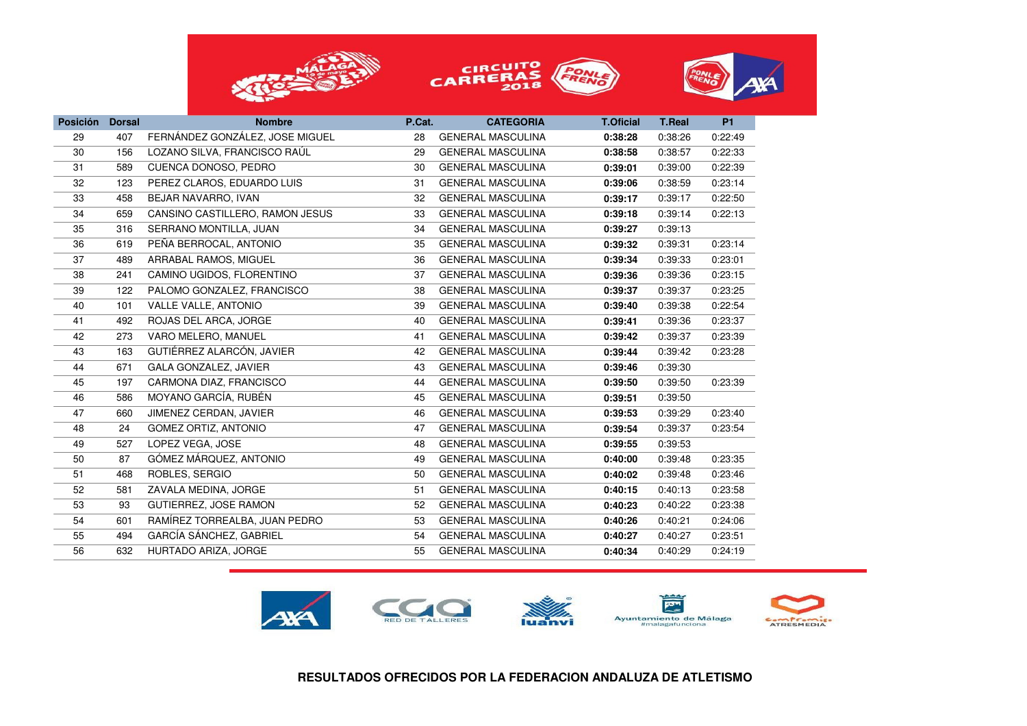





| <b>Posición</b> | <b>Dorsal</b> | <b>Nombre</b>                   | P.Cat. | <b>CATEGORIA</b>         | <b>T.Oficial</b> | <b>T.Real</b> | <b>P1</b> |
|-----------------|---------------|---------------------------------|--------|--------------------------|------------------|---------------|-----------|
| 29              | 407           | FERNÁNDEZ GONZÁLEZ, JOSE MIGUEL | 28     | <b>GENERAL MASCULINA</b> | 0:38:28          | 0:38:26       | 0:22:49   |
| 30              | 156           | LOZANO SILVA, FRANCISCO RAÚL    | 29     | <b>GENERAL MASCULINA</b> | 0:38:58          | 0:38:57       | 0:22:33   |
| 31              | 589           | CUENCA DONOSO, PEDRO            | 30     | <b>GENERAL MASCULINA</b> | 0:39:01          | 0:39:00       | 0:22:39   |
| 32              | 123           | PEREZ CLAROS, EDUARDO LUIS      | 31     | <b>GENERAL MASCULINA</b> | 0:39:06          | 0:38:59       | 0:23:14   |
| 33              | 458           | BEJAR NAVARRO, IVAN             | 32     | <b>GENERAL MASCULINA</b> | 0:39:17          | 0:39:17       | 0:22:50   |
| 34              | 659           | CANSINO CASTILLERO, RAMON JESUS | 33     | <b>GENERAL MASCULINA</b> | 0:39:18          | 0:39:14       | 0:22:13   |
| 35              | 316           | SERRANO MONTILLA, JUAN          | 34     | <b>GENERAL MASCULINA</b> | 0:39:27          | 0:39:13       |           |
| 36              | 619           | PEÑA BERROCAL, ANTONIO          | 35     | <b>GENERAL MASCULINA</b> | 0:39:32          | 0:39:31       | 0:23:14   |
| 37              | 489           | ARRABAL RAMOS, MIGUEL           | 36     | <b>GENERAL MASCULINA</b> | 0:39:34          | 0:39:33       | 0:23:01   |
| 38              | 241           | CAMINO UGIDOS, FLORENTINO       | 37     | <b>GENERAL MASCULINA</b> | 0:39:36          | 0:39:36       | 0:23:15   |
| 39              | 122           | PALOMO GONZALEZ, FRANCISCO      | 38     | <b>GENERAL MASCULINA</b> | 0:39:37          | 0:39:37       | 0:23:25   |
| 40              | 101           | VALLE VALLE, ANTONIO            | 39     | <b>GENERAL MASCULINA</b> | 0:39:40          | 0:39:38       | 0:22:54   |
| 41              | 492           | ROJAS DEL ARCA, JORGE           | 40     | <b>GENERAL MASCULINA</b> | 0:39:41          | 0:39:36       | 0:23:37   |
| 42              | 273           | VARO MELERO, MANUEL             | 41     | <b>GENERAL MASCULINA</b> | 0:39:42          | 0:39:37       | 0:23:39   |
| 43              | 163           | GUTIÉRREZ ALARCÓN, JAVIER       | 42     | <b>GENERAL MASCULINA</b> | 0:39:44          | 0:39:42       | 0:23:28   |
| 44              | 671           | GALA GONZALEZ, JAVIER           | 43     | <b>GENERAL MASCULINA</b> | 0:39:46          | 0:39:30       |           |
| 45              | 197           | CARMONA DIAZ, FRANCISCO         | 44     | <b>GENERAL MASCULINA</b> | 0:39:50          | 0:39:50       | 0:23:39   |
| 46              | 586           | MOYANO GARCÍA, RUBÉN            | 45     | <b>GENERAL MASCULINA</b> | 0:39:51          | 0:39:50       |           |
| 47              | 660           | JIMENEZ CERDAN, JAVIER          | 46     | <b>GENERAL MASCULINA</b> | 0:39:53          | 0:39:29       | 0:23:40   |
| 48              | 24            | <b>GOMEZ ORTIZ, ANTONIO</b>     | 47     | <b>GENERAL MASCULINA</b> | 0:39:54          | 0:39:37       | 0:23:54   |
| 49              | 527           | LOPEZ VEGA, JOSE                | 48     | <b>GENERAL MASCULINA</b> | 0:39:55          | 0:39:53       |           |
| 50              | 87            | GÓMEZ MÁRQUEZ, ANTONIO          | 49     | <b>GENERAL MASCULINA</b> | 0:40:00          | 0:39:48       | 0:23:35   |
| 51              | 468           | ROBLES, SERGIO                  | 50     | <b>GENERAL MASCULINA</b> | 0:40:02          | 0:39:48       | 0:23:46   |
| 52              | 581           | ZAVALA MEDINA, JORGE            | 51     | <b>GENERAL MASCULINA</b> | 0:40:15          | 0:40:13       | 0:23:58   |
| 53              | 93            | <b>GUTIERREZ, JOSE RAMON</b>    | 52     | <b>GENERAL MASCULINA</b> | 0:40:23          | 0:40:22       | 0:23:38   |
| 54              | 601           | RAMÍREZ TORREALBA, JUAN PEDRO   | 53     | <b>GENERAL MASCULINA</b> | 0:40:26          | 0:40:21       | 0:24:06   |
| 55              | 494           | GARCÍA SÁNCHEZ, GABRIEL         | 54     | <b>GENERAL MASCULINA</b> | 0:40:27          | 0:40:27       | 0:23:51   |
| 56              | 632           | HURTADO ARIZA, JORGE            | 55     | <b>GENERAL MASCULINA</b> | 0:40:34          | 0:40:29       | 0:24:19   |
|                 |               |                                 |        |                          |                  |               |           |

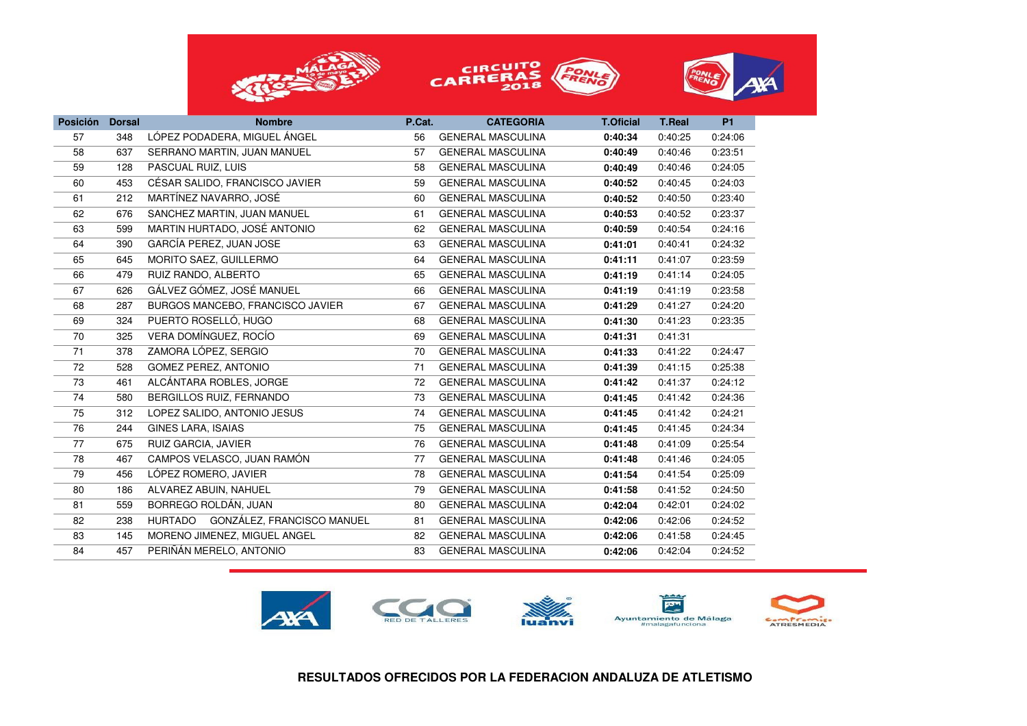





| <b>Posición</b> | <b>Dorsal</b> | <b>Nombre</b>                      | P.Cat. | <b>CATEGORIA</b>         | <b>T.Oficial</b> | <b>T.Real</b> | <b>P1</b> |
|-----------------|---------------|------------------------------------|--------|--------------------------|------------------|---------------|-----------|
| 57              | 348           | LÓPEZ PODADERA, MIGUEL ÁNGEL       | 56     | <b>GENERAL MASCULINA</b> | 0:40:34          | 0:40:25       | 0:24:06   |
| 58              | 637           | SERRANO MARTIN, JUAN MANUEL        | 57     | <b>GENERAL MASCULINA</b> | 0:40:49          | 0:40:46       | 0:23:51   |
| 59              | 128           | PASCUAL RUIZ, LUIS                 | 58     | <b>GENERAL MASCULINA</b> | 0:40:49          | 0:40:46       | 0:24:05   |
| 60              | 453           | CÉSAR SALIDO, FRANCISCO JAVIER     | 59     | <b>GENERAL MASCULINA</b> | 0:40:52          | 0:40:45       | 0:24:03   |
| 61              | 212           | MARTÍNEZ NAVARRO, JOSÉ             | 60     | <b>GENERAL MASCULINA</b> | 0:40:52          | 0:40:50       | 0:23:40   |
| 62              | 676           | SANCHEZ MARTIN, JUAN MANUEL        | 61     | <b>GENERAL MASCULINA</b> | 0:40:53          | 0:40:52       | 0:23:37   |
| 63              | 599           | MARTIN HURTADO, JOSÉ ANTONIO       | 62     | <b>GENERAL MASCULINA</b> | 0:40:59          | 0:40:54       | 0:24:16   |
| 64              | 390           | GARCÍA PEREZ, JUAN JOSE            | 63     | <b>GENERAL MASCULINA</b> | 0:41:01          | 0:40:41       | 0:24:32   |
| 65              | 645           | MORITO SAEZ, GUILLERMO             | 64     | <b>GENERAL MASCULINA</b> | 0:41:11          | 0:41:07       | 0:23:59   |
| 66              | 479           | RUIZ RANDO, ALBERTO                | 65     | <b>GENERAL MASCULINA</b> | 0:41:19          | 0:41:14       | 0:24:05   |
| 67              | 626           | GÁLVEZ GÓMEZ, JOSÉ MANUEL          | 66     | <b>GENERAL MASCULINA</b> | 0:41:19          | 0:41:19       | 0:23:58   |
| 68              | 287           | BURGOS MANCEBO, FRANCISCO JAVIER   | 67     | <b>GENERAL MASCULINA</b> | 0:41:29          | 0:41:27       | 0:24:20   |
| 69              | 324           | PUERTO ROSELLÓ, HUGO               | 68     | <b>GENERAL MASCULINA</b> | 0:41:30          | 0:41:23       | 0:23:35   |
| 70              | 325           | VERA DOMÍNGUEZ, ROCÍO              | 69     | <b>GENERAL MASCULINA</b> | 0:41:31          | 0:41:31       |           |
| 71              | 378           | ZAMORA LÓPEZ, SERGIO               | 70     | <b>GENERAL MASCULINA</b> | 0:41:33          | 0:41:22       | 0:24:47   |
| 72              | 528           | <b>GOMEZ PEREZ, ANTONIO</b>        | 71     | <b>GENERAL MASCULINA</b> | 0:41:39          | 0:41:15       | 0:25:38   |
| 73              | 461           | ALCÁNTARA ROBLES, JORGE            | 72     | <b>GENERAL MASCULINA</b> | 0:41:42          | 0:41:37       | 0:24:12   |
| 74              | 580           | BERGILLOS RUIZ, FERNANDO           | 73     | <b>GENERAL MASCULINA</b> | 0:41:45          | 0:41:42       | 0:24:36   |
| 75              | 312           | LOPEZ SALIDO, ANTONIO JESUS        | 74     | <b>GENERAL MASCULINA</b> | 0:41:45          | 0:41:42       | 0:24:21   |
| 76              | 244           | GINES LARA, ISAIAS                 | 75     | <b>GENERAL MASCULINA</b> | 0:41:45          | 0:41:45       | 0:24:34   |
| 77              | 675           | RUIZ GARCIA, JAVIER                | 76     | <b>GENERAL MASCULINA</b> | 0:41:48          | 0:41:09       | 0:25:54   |
| 78              | 467           | CAMPOS VELASCO, JUAN RAMÓN         | 77     | <b>GENERAL MASCULINA</b> | 0:41:48          | 0:41:46       | 0:24:05   |
| 79              | 456           | LÓPEZ ROMERO, JAVIER               | 78     | <b>GENERAL MASCULINA</b> | 0:41:54          | 0:41:54       | 0:25:09   |
| 80              | 186           | ALVAREZ ABUIN, NAHUEL              | 79     | <b>GENERAL MASCULINA</b> | 0:41:58          | 0:41:52       | 0:24:50   |
| 81              | 559           | BORREGO ROLDÁN, JUAN               | 80     | <b>GENERAL MASCULINA</b> | 0:42:04          | 0:42:01       | 0:24:02   |
| 82              | 238           | HURTADO GONZÁLEZ, FRANCISCO MANUEL | 81     | <b>GENERAL MASCULINA</b> | 0:42:06          | 0:42:06       | 0:24:52   |
| 83              | 145           | MORENO JIMENEZ, MIGUEL ANGEL       | 82     | <b>GENERAL MASCULINA</b> | 0:42:06          | 0:41:58       | 0:24:45   |
| 84              | 457           | PERIÑÁN MERELO, ANTONIO            | 83     | <b>GENERAL MASCULINA</b> | 0:42:06          | 0:42:04       | 0:24:52   |

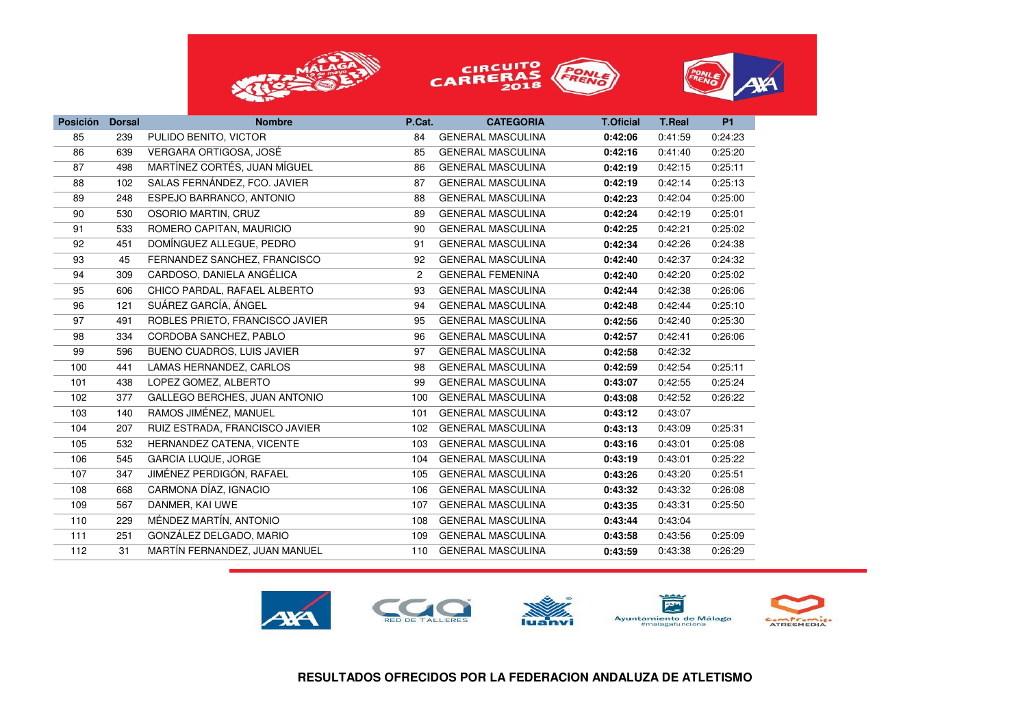





| <b>Posición</b> | <b>Dorsal</b> | <b>Nombre</b>                   | P.Cat.         | <b>CATEGORIA</b>         | <b>T.Oficial</b> | <b>T.Real</b> | <b>P1</b> |
|-----------------|---------------|---------------------------------|----------------|--------------------------|------------------|---------------|-----------|
| 85              | 239           | PULIDO BENITO, VICTOR           | 84             | <b>GENERAL MASCULINA</b> | 0:42:06          | 0:41:59       | 0:24:23   |
| 86              | 639           | VERGARA ORTIGOSA, JOSÉ          | 85             | <b>GENERAL MASCULINA</b> | 0:42:16          | 0:41:40       | 0:25:20   |
| 87              | 498           | MARTÍNEZ CORTÉS, JUAN MÍGUEL    | 86             | <b>GENERAL MASCULINA</b> | 0:42:19          | 0:42:15       | 0:25:11   |
| 88              | 102           | SALAS FERNÁNDEZ, FCO. JAVIER    | 87             | <b>GENERAL MASCULINA</b> | 0:42:19          | 0:42:14       | 0:25:13   |
| 89              | 248           | ESPEJO BARRANCO, ANTONIO        | 88             | <b>GENERAL MASCULINA</b> | 0:42:23          | 0:42:04       | 0:25:00   |
| 90              | 530           | OSORIO MARTIN, CRUZ             | 89             | <b>GENERAL MASCULINA</b> | 0:42:24          | 0:42:19       | 0:25:01   |
| 91              | 533           | ROMERO CAPITAN, MAURICIO        | 90             | <b>GENERAL MASCULINA</b> | 0:42:25          | 0:42:21       | 0:25:02   |
| 92              | 451           | DOMÍNGUEZ ALLEGUE, PEDRO        | 91             | <b>GENERAL MASCULINA</b> | 0:42:34          | 0:42:26       | 0:24:38   |
| 93              | 45            | FERNANDEZ SANCHEZ, FRANCISCO    | 92             | <b>GENERAL MASCULINA</b> | 0:42:40          | 0:42:37       | 0:24:32   |
| 94              | 309           | CARDOSO, DANIELA ANGÉLICA       | $\overline{c}$ | <b>GENERAL FEMENINA</b>  | 0:42:40          | 0:42:20       | 0:25:02   |
| 95              | 606           | CHICO PARDAL, RAFAEL ALBERTO    | 93             | <b>GENERAL MASCULINA</b> | 0:42:44          | 0:42:38       | 0:26:06   |
| 96              | 121           | SUÁREZ GARCÍA, ÁNGEL            | 94             | <b>GENERAL MASCULINA</b> | 0:42:48          | 0:42:44       | 0:25:10   |
| 97              | 491           | ROBLES PRIETO, FRANCISCO JAVIER | 95             | <b>GENERAL MASCULINA</b> | 0:42:56          | 0:42:40       | 0:25:30   |
| 98              | 334           | CORDOBA SANCHEZ, PABLO          | 96             | <b>GENERAL MASCULINA</b> | 0:42:57          | 0:42:41       | 0:26:06   |
| 99              | 596           | BUENO CUADROS, LUIS JAVIER      | 97             | <b>GENERAL MASCULINA</b> | 0:42:58          | 0:42:32       |           |
| 100             | 441           | LAMAS HERNANDEZ, CARLOS         | 98             | <b>GENERAL MASCULINA</b> | 0:42:59          | 0:42:54       | 0:25:11   |
| 101             | 438           | LOPEZ GOMEZ, ALBERTO            | 99             | <b>GENERAL MASCULINA</b> | 0:43:07          | 0:42:55       | 0:25:24   |
| 102             | 377           | GALLEGO BERCHES, JUAN ANTONIO   | 100            | <b>GENERAL MASCULINA</b> | 0:43:08          | 0:42:52       | 0:26:22   |
| 103             | 140           | RAMOS JIMÉNEZ, MANUEL           | 101            | <b>GENERAL MASCULINA</b> | 0:43:12          | 0:43:07       |           |
| 104             | 207           | RUIZ ESTRADA, FRANCISCO JAVIER  | 102            | <b>GENERAL MASCULINA</b> | 0:43:13          | 0:43:09       | 0:25:31   |
| 105             | 532           | HERNANDEZ CATENA, VICENTE       | 103            | <b>GENERAL MASCULINA</b> | 0:43:16          | 0:43:01       | 0:25:08   |
| 106             | 545           | GARCIA LUQUE, JORGE             | 104            | <b>GENERAL MASCULINA</b> | 0:43:19          | 0:43:01       | 0:25:22   |
| 107             | 347           | JIMÉNEZ PERDIGÓN, RAFAEL        | 105            | <b>GENERAL MASCULINA</b> | 0:43:26          | 0:43:20       | 0:25:51   |
| 108             | 668           | CARMONA DÍAZ, IGNACIO           | 106            | <b>GENERAL MASCULINA</b> | 0:43:32          | 0:43:32       | 0:26:08   |
| 109             | 567           | DANMER, KAI UWE                 | 107            | <b>GENERAL MASCULINA</b> | 0:43:35          | 0:43:31       | 0:25:50   |
| 110             | 229           | MÉNDEZ MARTÍN, ANTONIO          | 108            | <b>GENERAL MASCULINA</b> | 0:43:44          | 0:43:04       |           |
| 111             | 251           | GONZÁLEZ DELGADO, MARIO         | 109            | <b>GENERAL MASCULINA</b> | 0:43:58          | 0:43:56       | 0:25:09   |
| 112             | 31            | MARTÍN FERNANDEZ, JUAN MANUEL   | 110            | <b>GENERAL MASCULINA</b> | 0:43:59          | 0:43:38       | 0:26:29   |

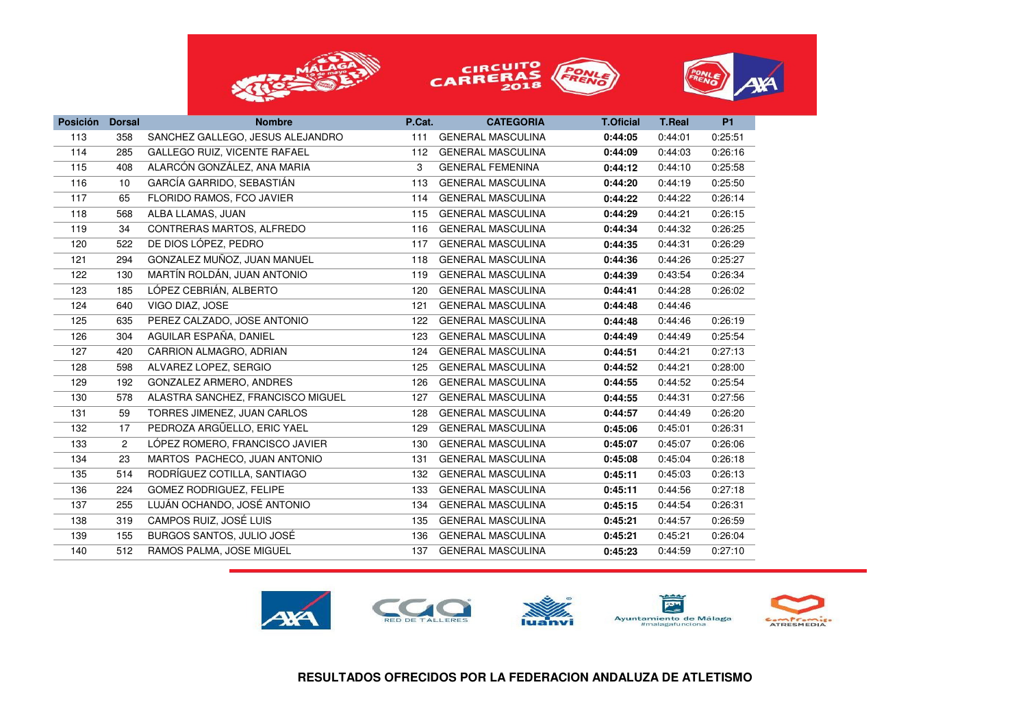





| <b>Posición</b> | <b>Dorsal</b>  | <b>Nombre</b>                     | P.Cat. | <b>CATEGORIA</b>         | <b>T.Oficial</b> | <b>T.Real</b> | <b>P1</b> |
|-----------------|----------------|-----------------------------------|--------|--------------------------|------------------|---------------|-----------|
| 113             | 358            | SANCHEZ GALLEGO, JESUS ALEJANDRO  | 111    | <b>GENERAL MASCULINA</b> | 0:44:05          | 0:44:01       | 0:25:51   |
| 114             | 285            | GALLEGO RUIZ, VICENTE RAFAEL      | 112    | <b>GENERAL MASCULINA</b> | 0:44:09          | 0:44:03       | 0:26:16   |
| 115             | 408            | ALARCÓN GONZÁLEZ, ANA MARIA       | 3      | <b>GENERAL FEMENINA</b>  | 0:44:12          | 0:44:10       | 0:25:58   |
| 116             | 10             | GARCÍA GARRIDO, SEBASTIÁN         | 113    | <b>GENERAL MASCULINA</b> | 0:44:20          | 0:44:19       | 0:25:50   |
| 117             | 65             | FLORIDO RAMOS, FCO JAVIER         | 114    | <b>GENERAL MASCULINA</b> | 0:44:22          | 0:44:22       | 0:26:14   |
| 118             | 568            | ALBA LLAMAS, JUAN                 | 115    | <b>GENERAL MASCULINA</b> | 0:44:29          | 0:44:21       | 0:26:15   |
| 119             | 34             | CONTRERAS MARTOS, ALFREDO         | 116    | <b>GENERAL MASCULINA</b> | 0:44:34          | 0:44:32       | 0:26:25   |
| 120             | 522            | DE DIOS LÓPEZ, PEDRO              | 117    | <b>GENERAL MASCULINA</b> | 0:44:35          | 0:44:31       | 0:26:29   |
| 121             | 294            | GONZALEZ MUÑOZ, JUAN MANUEL       | 118    | <b>GENERAL MASCULINA</b> | 0:44:36          | 0:44:26       | 0:25:27   |
| 122             | 130            | MARTÍN ROLDÁN, JUAN ANTONIO       | 119    | <b>GENERAL MASCULINA</b> | 0:44:39          | 0:43:54       | 0:26:34   |
| 123             | 185            | LÓPEZ CEBRIÁN, ALBERTO            | 120    | <b>GENERAL MASCULINA</b> | 0:44:41          | 0:44:28       | 0:26:02   |
| 124             | 640            | VIGO DIAZ, JOSE                   | 121    | <b>GENERAL MASCULINA</b> | 0:44:48          | 0:44:46       |           |
| 125             | 635            | PEREZ CALZADO, JOSE ANTONIO       | 122    | <b>GENERAL MASCULINA</b> | 0:44:48          | 0:44:46       | 0:26:19   |
| 126             | 304            | AGUILAR ESPAÑA, DANIEL            | 123    | <b>GENERAL MASCULINA</b> | 0:44:49          | 0:44:49       | 0:25:54   |
| 127             | 420            | CARRION ALMAGRO, ADRIAN           | 124    | <b>GENERAL MASCULINA</b> | 0:44:51          | 0:44:21       | 0:27:13   |
| 128             | 598            | ALVAREZ LOPEZ, SERGIO             | 125    | <b>GENERAL MASCULINA</b> | 0:44:52          | 0:44:21       | 0:28:00   |
| 129             | 192            | GONZALEZ ARMERO, ANDRES           | 126    | <b>GENERAL MASCULINA</b> | 0:44:55          | 0:44:52       | 0:25:54   |
| 130             | 578            | ALASTRA SANCHEZ, FRANCISCO MIGUEL | 127    | <b>GENERAL MASCULINA</b> | 0:44:55          | 0:44:31       | 0:27:56   |
| 131             | 59             | TORRES JIMENEZ, JUAN CARLOS       | 128    | <b>GENERAL MASCULINA</b> | 0:44:57          | 0:44:49       | 0:26:20   |
| 132             | 17             | PEDROZA ARGÜELLO, ERIC YAEL       | 129    | <b>GENERAL MASCULINA</b> | 0:45:06          | 0:45:01       | 0:26:31   |
| 133             | $\overline{c}$ | LÓPEZ ROMERO, FRANCISCO JAVIER    | 130    | <b>GENERAL MASCULINA</b> | 0:45:07          | 0:45:07       | 0:26:06   |
| 134             | 23             | MARTOS PACHECO, JUAN ANTONIO      | 131    | <b>GENERAL MASCULINA</b> | 0:45:08          | 0:45:04       | 0:26:18   |
| 135             | 514            | RODRÍGUEZ COTILLA, SANTIAGO       | 132    | <b>GENERAL MASCULINA</b> | 0:45:11          | 0:45:03       | 0:26:13   |
| 136             | 224            | <b>GOMEZ RODRIGUEZ, FELIPE</b>    | 133    | <b>GENERAL MASCULINA</b> | 0:45:11          | 0:44:56       | 0:27:18   |
| 137             | 255            | LUJÁN OCHANDO, JOSÉ ANTONIO       | 134    | <b>GENERAL MASCULINA</b> | 0:45:15          | 0:44:54       | 0:26:31   |
| 138             | 319            | CAMPOS RUIZ, JOSÉ LUIS            | 135    | <b>GENERAL MASCULINA</b> | 0:45:21          | 0:44:57       | 0:26:59   |
| 139             | 155            | BURGOS SANTOS, JULIO JOSÉ         | 136    | <b>GENERAL MASCULINA</b> | 0:45:21          | 0:45:21       | 0:26:04   |
| 140             | 512            | RAMOS PALMA, JOSE MIGUEL          | 137    | <b>GENERAL MASCULINA</b> | 0:45:23          | 0:44:59       | 0:27:10   |

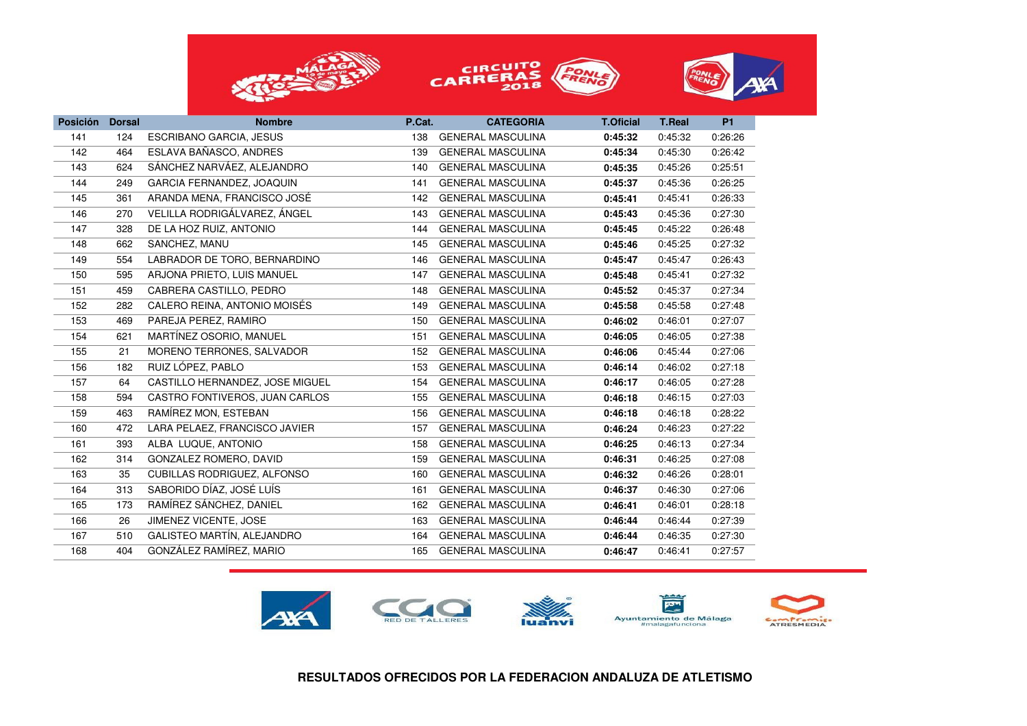





| <b>Posición</b> | <b>Dorsal</b> | <b>Nombre</b>                   | P.Cat. | <b>CATEGORIA</b>         | <b>T.Oficial</b> | <b>T.Real</b> | <b>P1</b> |
|-----------------|---------------|---------------------------------|--------|--------------------------|------------------|---------------|-----------|
| 141             | 124           | <b>ESCRIBANO GARCIA, JESUS</b>  | 138    | <b>GENERAL MASCULINA</b> | 0:45:32          | 0:45:32       | 0:26:26   |
| 142             | 464           | ESLAVA BAÑASCO, ANDRES          | 139    | <b>GENERAL MASCULINA</b> | 0:45:34          | 0:45:30       | 0:26:42   |
| 143             | 624           | SÁNCHEZ NARVÁEZ, ALEJANDRO      | 140    | <b>GENERAL MASCULINA</b> | 0:45:35          | 0:45:26       | 0:25:51   |
| 144             | 249           | GARCIA FERNANDEZ, JOAQUIN       | 141    | <b>GENERAL MASCULINA</b> | 0:45:37          | 0:45:36       | 0:26:25   |
| 145             | 361           | ARANDA MENA, FRANCISCO JOSÉ     | 142    | <b>GENERAL MASCULINA</b> | 0:45:41          | 0:45:41       | 0:26:33   |
| 146             | 270           | VELILLA RODRIGÁLVAREZ, ÁNGEL    | 143    | <b>GENERAL MASCULINA</b> | 0:45:43          | 0:45:36       | 0:27:30   |
| 147             | 328           | DE LA HOZ RUIZ, ANTONIO         | 144    | <b>GENERAL MASCULINA</b> | 0:45:45          | 0:45:22       | 0:26:48   |
| 148             | 662           | SANCHEZ, MANU                   | 145    | <b>GENERAL MASCULINA</b> | 0:45:46          | 0:45:25       | 0:27:32   |
| 149             | 554           | LABRADOR DE TORO, BERNARDINO    | 146    | <b>GENERAL MASCULINA</b> | 0:45:47          | 0:45:47       | 0:26:43   |
| 150             | 595           | ARJONA PRIETO, LUIS MANUEL      | 147    | <b>GENERAL MASCULINA</b> | 0:45:48          | 0:45:41       | 0:27:32   |
| 151             | 459           | CABRERA CASTILLO, PEDRO         | 148    | <b>GENERAL MASCULINA</b> | 0:45:52          | 0:45:37       | 0:27:34   |
| 152             | 282           | CALERO REINA, ANTONIO MOISÉS    | 149    | <b>GENERAL MASCULINA</b> | 0:45:58          | 0:45:58       | 0:27:48   |
| 153             | 469           | PAREJA PEREZ, RAMIRO            | 150    | <b>GENERAL MASCULINA</b> | 0:46:02          | 0:46:01       | 0:27:07   |
| 154             | 621           | MARTÍNEZ OSORIO. MANUEL         | 151    | <b>GENERAL MASCULINA</b> | 0:46:05          | 0:46:05       | 0:27:38   |
| 155             | 21            | MORENO TERRONES, SALVADOR       | 152    | <b>GENERAL MASCULINA</b> | 0:46:06          | 0:45:44       | 0:27:06   |
| 156             | 182           | RUIZ LÓPEZ, PABLO               | 153    | <b>GENERAL MASCULINA</b> | 0:46:14          | 0:46:02       | 0:27:18   |
| 157             | 64            | CASTILLO HERNANDEZ, JOSE MIGUEL | 154    | <b>GENERAL MASCULINA</b> | 0:46:17          | 0:46:05       | 0:27:28   |
| 158             | 594           | CASTRO FONTIVEROS, JUAN CARLOS  | 155    | <b>GENERAL MASCULINA</b> | 0:46:18          | 0:46:15       | 0:27:03   |
| 159             | 463           | RAMÍREZ MON, ESTEBAN            | 156    | <b>GENERAL MASCULINA</b> | 0:46:18          | 0:46:18       | 0:28:22   |
| 160             | 472           | LARA PELAEZ, FRANCISCO JAVIER   | 157    | <b>GENERAL MASCULINA</b> | 0:46:24          | 0:46:23       | 0:27:22   |
| 161             | 393           | ALBA LUQUE, ANTONIO             | 158    | <b>GENERAL MASCULINA</b> | 0:46:25          | 0:46:13       | 0:27:34   |
| 162             | 314           | GONZALEZ ROMERO, DAVID          | 159    | <b>GENERAL MASCULINA</b> | 0:46:31          | 0:46:25       | 0:27:08   |
| 163             | 35            | CUBILLAS RODRIGUEZ, ALFONSO     | 160    | <b>GENERAL MASCULINA</b> | 0:46:32          | 0:46:26       | 0:28:01   |
| 164             | 313           | SABORIDO DÍAZ, JOSÉ LUÍS        | 161    | <b>GENERAL MASCULINA</b> | 0:46:37          | 0:46:30       | 0:27:06   |
| 165             | 173           | RAMÍREZ SÁNCHEZ, DANIEL         | 162    | <b>GENERAL MASCULINA</b> | 0:46:41          | 0:46:01       | 0:28:18   |
| 166             | 26            | JIMENEZ VICENTE, JOSE           | 163    | <b>GENERAL MASCULINA</b> | 0:46:44          | 0:46:44       | 0:27:39   |
| 167             | 510           | GALISTEO MARTÍN, ALEJANDRO      | 164    | <b>GENERAL MASCULINA</b> | 0:46:44          | 0:46:35       | 0:27:30   |
| 168             | 404           | GONZÁLEZ RAMÍREZ, MARIO         | 165    | <b>GENERAL MASCULINA</b> | 0:46:47          | 0:46:41       | 0:27:57   |
|                 |               |                                 |        |                          |                  |               |           |

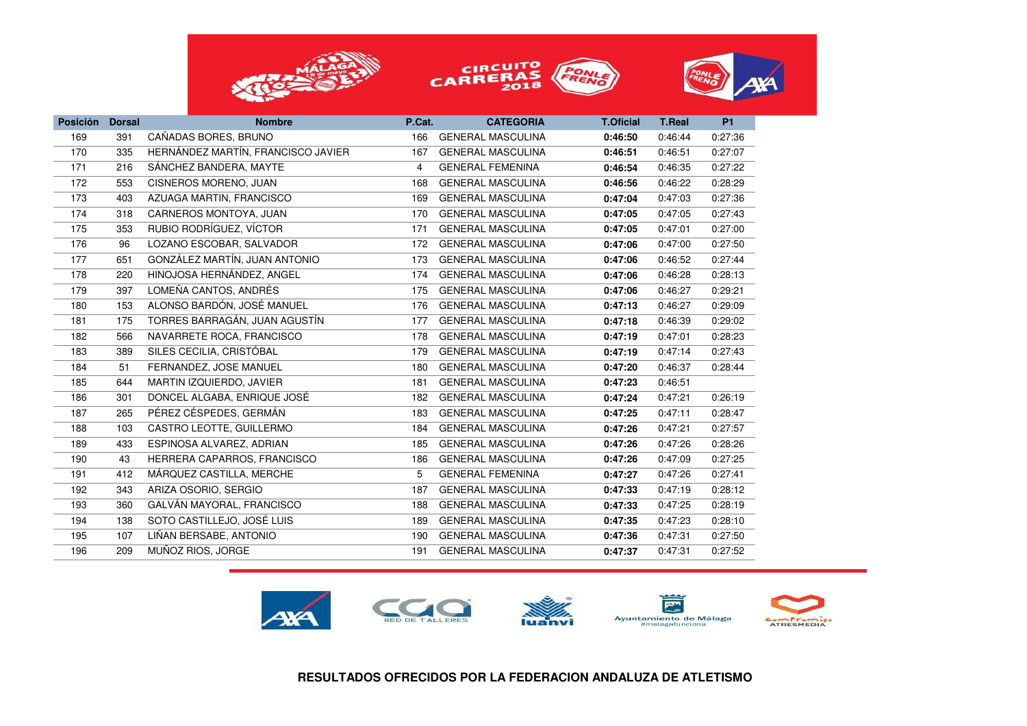





| <b>Posición</b> | <b>Dorsal</b> | <b>Nombre</b>                      | P.Cat. | <b>CATEGORIA</b>         | <b>T.Oficial</b> | <b>T.Real</b> | <b>P1</b> |
|-----------------|---------------|------------------------------------|--------|--------------------------|------------------|---------------|-----------|
| 169             | 391           | CAÑADAS BORES, BRUNO               | 166    | <b>GENERAL MASCULINA</b> | 0:46:50          | 0:46:44       | 0:27:36   |
| 170             | 335           | HERNÁNDEZ MARTÍN, FRANCISCO JAVIER | 167    | <b>GENERAL MASCULINA</b> | 0:46:51          | 0:46:51       | 0:27:07   |
| 171             | 216           | SÁNCHEZ BANDERA, MAYTE             | 4      | <b>GENERAL FEMENINA</b>  | 0:46:54          | 0:46:35       | 0:27:22   |
| 172             | 553           | CISNEROS MORENO, JUAN              | 168    | <b>GENERAL MASCULINA</b> | 0:46:56          | 0:46:22       | 0:28:29   |
| 173             | 403           | AZUAGA MARTIN, FRANCISCO           | 169    | <b>GENERAL MASCULINA</b> | 0:47:04          | 0:47:03       | 0:27:36   |
| 174             | 318           | CARNEROS MONTOYA, JUAN             | 170    | <b>GENERAL MASCULINA</b> | 0:47:05          | 0:47:05       | 0:27:43   |
| 175             | 353           | RUBIO RODRÍGUEZ. VÍCTOR            | 171    | <b>GENERAL MASCULINA</b> | 0:47:05          | 0:47:01       | 0:27:00   |
| 176             | 96            | LOZANO ESCOBAR, SALVADOR           | 172    | <b>GENERAL MASCULINA</b> | 0:47:06          | 0:47:00       | 0:27:50   |
| 177             | 651           | GONZÁLEZ MARTÍN, JUAN ANTONIO      | 173    | <b>GENERAL MASCULINA</b> | 0:47:06          | 0:46:52       | 0:27:44   |
| 178             | 220           | HINOJOSA HERNÁNDEZ, ANGEL          | 174    | <b>GENERAL MASCULINA</b> | 0:47:06          | 0:46:28       | 0:28:13   |
| 179             | 397           | LOMEÑA CANTOS, ANDRÉS              | 175    | <b>GENERAL MASCULINA</b> | 0:47:06          | 0:46:27       | 0:29:21   |
| 180             | 153           | ALONSO BARDÓN, JOSÉ MANUEL         | 176    | <b>GENERAL MASCULINA</b> | 0:47:13          | 0:46:27       | 0:29:09   |
| 181             | 175           | TORRES BARRAGÁN, JUAN AGUSTÍN      | 177    | <b>GENERAL MASCULINA</b> | 0:47:18          | 0:46:39       | 0:29:02   |
| 182             | 566           | NAVARRETE ROCA, FRANCISCO          | 178    | <b>GENERAL MASCULINA</b> | 0:47:19          | 0:47:01       | 0:28:23   |
| 183             | 389           | SILES CECILIA, CRISTÓBAL           | 179    | <b>GENERAL MASCULINA</b> | 0:47:19          | 0:47:14       | 0:27:43   |
| 184             | 51            | FERNANDEZ, JOSE MANUEL             | 180    | <b>GENERAL MASCULINA</b> | 0:47:20          | 0:46:37       | 0:28:44   |
| 185             | 644           | MARTIN IZQUIERDO, JAVIER           | 181    | <b>GENERAL MASCULINA</b> | 0:47:23          | 0:46:51       |           |
| 186             | 301           | DONCEL ALGABA, ENRIQUE JOSÉ        | 182    | <b>GENERAL MASCULINA</b> | 0:47:24          | 0:47:21       | 0:26:19   |
| 187             | 265           | PÉREZ CÉSPEDES, GERMÁN             | 183    | <b>GENERAL MASCULINA</b> | 0:47:25          | 0:47:11       | 0:28:47   |
| 188             | 103           | CASTRO LEOTTE, GUILLERMO           | 184    | <b>GENERAL MASCULINA</b> | 0:47:26          | 0:47:21       | 0:27:57   |
| 189             | 433           | ESPINOSA ALVAREZ, ADRIAN           | 185    | <b>GENERAL MASCULINA</b> | 0:47:26          | 0:47:26       | 0:28:26   |
| 190             | 43            | HERRERA CAPARROS, FRANCISCO        | 186    | <b>GENERAL MASCULINA</b> | 0:47:26          | 0:47:09       | 0:27:25   |
| 191             | 412           | MÁRQUEZ CASTILLA, MERCHE           | 5      | <b>GENERAL FEMENINA</b>  | 0:47:27          | 0:47:26       | 0:27:41   |
| 192             | 343           | ARIZA OSORIO, SERGIO               | 187    | <b>GENERAL MASCULINA</b> | 0:47:33          | 0:47:19       | 0:28:12   |
| 193             | 360           | GALVÁN MAYORAL, FRANCISCO          | 188    | <b>GENERAL MASCULINA</b> | 0:47:33          | 0:47:25       | 0:28:19   |
| 194             | 138           | SOTO CASTILLEJO, JOSÉ LUIS         | 189    | <b>GENERAL MASCULINA</b> | 0:47:35          | 0:47:23       | 0:28:10   |
| 195             | 107           | LIÑAN BERSABE, ANTONIO             | 190    | <b>GENERAL MASCULINA</b> | 0:47:36          | 0:47:31       | 0:27:50   |
| 196             | 209           | MUÑOZ RIOS, JORGE                  | 191    | <b>GENERAL MASCULINA</b> | 0:47:37          | 0:47:31       | 0:27:52   |
|                 |               |                                    |        |                          |                  |               |           |

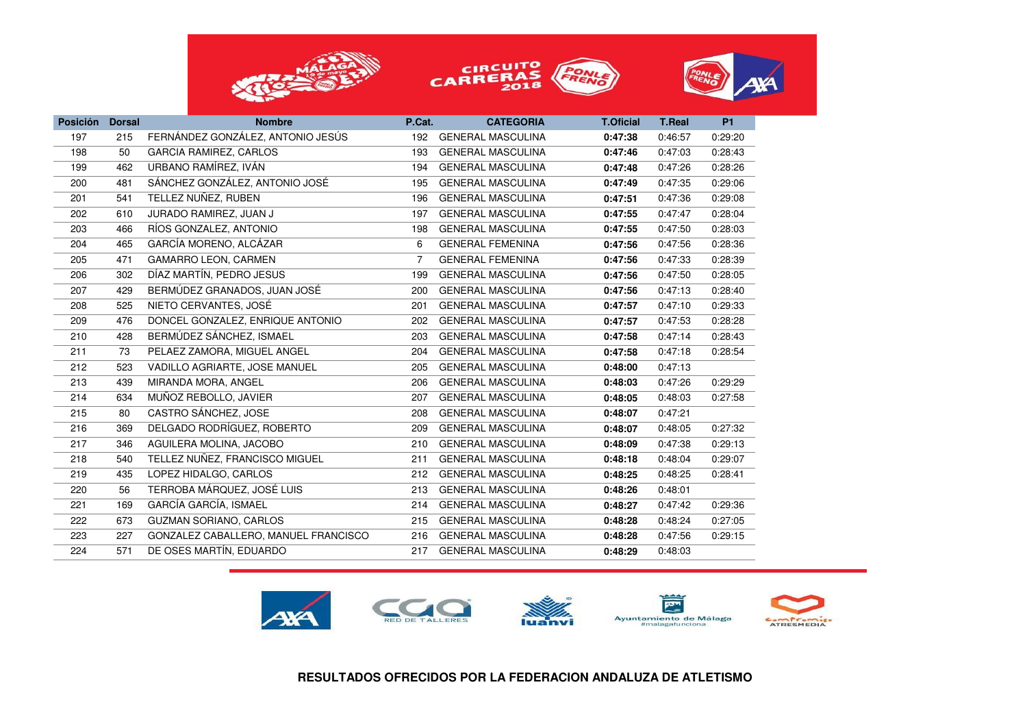





| <b>Posición</b> | <b>Dorsal</b> | <b>Nombre</b>                        | P.Cat. | <b>CATEGORIA</b>         | <b>T.Oficial</b> | <b>T.Real</b> | <b>P1</b> |
|-----------------|---------------|--------------------------------------|--------|--------------------------|------------------|---------------|-----------|
| 197             | 215           | FERNÁNDEZ GONZÁLEZ, ANTONIO JESÚS    | 192    | <b>GENERAL MASCULINA</b> | 0:47:38          | 0:46:57       | 0:29:20   |
| 198             | 50            | GARCIA RAMIREZ, CARLOS               | 193    | <b>GENERAL MASCULINA</b> | 0:47:46          | 0:47:03       | 0:28:43   |
| 199             | 462           | URBANO RAMÍREZ, IVÁN                 | 194    | <b>GENERAL MASCULINA</b> | 0:47:48          | 0:47:26       | 0:28:26   |
| 200             | 481           | SÁNCHEZ GONZÁLEZ, ANTONIO JOSÉ       | 195    | <b>GENERAL MASCULINA</b> | 0:47:49          | 0:47:35       | 0:29:06   |
| 201             | 541           | TELLEZ NUÑEZ, RUBEN                  | 196    | <b>GENERAL MASCULINA</b> | 0:47:51          | 0:47:36       | 0:29:08   |
| 202             | 610           | JURADO RAMIREZ, JUAN J               | 197    | <b>GENERAL MASCULINA</b> | 0:47:55          | 0:47:47       | 0:28:04   |
| 203             | 466           | RÍOS GONZALEZ, ANTONIO               | 198    | <b>GENERAL MASCULINA</b> | 0:47:55          | 0:47:50       | 0:28:03   |
| 204             | 465           | GARCÍA MORENO, ALCÁZAR               | 6      | <b>GENERAL FEMENINA</b>  | 0:47:56          | 0:47:56       | 0:28:36   |
| 205             | 471           | GAMARRO LEON, CARMEN                 | 7      | <b>GENERAL FEMENINA</b>  | 0:47:56          | 0:47:33       | 0:28:39   |
| 206             | 302           | DÍAZ MARTÍN, PEDRO JESUS             | 199    | <b>GENERAL MASCULINA</b> | 0:47:56          | 0:47:50       | 0:28:05   |
| 207             | 429           | BERMÚDEZ GRANADOS, JUAN JOSÉ         | 200    | <b>GENERAL MASCULINA</b> | 0:47:56          | 0:47:13       | 0:28:40   |
| 208             | 525           | NIETO CERVANTES, JOSÉ                | 201    | <b>GENERAL MASCULINA</b> | 0:47:57          | 0:47:10       | 0:29:33   |
| 209             | 476           | DONCEL GONZALEZ, ENRIQUE ANTONIO     | 202    | <b>GENERAL MASCULINA</b> | 0:47:57          | 0:47:53       | 0:28:28   |
| 210             | 428           | BERMÚDEZ SÁNCHEZ, ISMAEL             | 203    | <b>GENERAL MASCULINA</b> | 0:47:58          | 0:47:14       | 0:28:43   |
| 211             | 73            | PELAEZ ZAMORA, MIGUEL ANGEL          | 204    | <b>GENERAL MASCULINA</b> | 0:47:58          | 0:47:18       | 0:28:54   |
| 212             | 523           | VADILLO AGRIARTE, JOSE MANUEL        | 205    | <b>GENERAL MASCULINA</b> | 0:48:00          | 0:47:13       |           |
| 213             | 439           | MIRANDA MORA, ANGEL                  | 206    | <b>GENERAL MASCULINA</b> | 0:48:03          | 0:47:26       | 0:29:29   |
| 214             | 634           | MUÑOZ REBOLLO, JAVIER                | 207    | <b>GENERAL MASCULINA</b> | 0:48:05          | 0:48:03       | 0:27:58   |
| 215             | 80            | CASTRO SÁNCHEZ, JOSE                 | 208    | <b>GENERAL MASCULINA</b> | 0:48:07          | 0:47:21       |           |
| 216             | 369           | DELGADO RODRÍGUEZ, ROBERTO           | 209    | <b>GENERAL MASCULINA</b> | 0:48:07          | 0:48:05       | 0:27:32   |
| 217             | 346           | AGUILERA MOLINA, JACOBO              | 210    | <b>GENERAL MASCULINA</b> | 0:48:09          | 0:47:38       | 0:29:13   |
| 218             | 540           | TELLEZ NUÑEZ, FRANCISCO MIGUEL       | 211    | <b>GENERAL MASCULINA</b> | 0:48:18          | 0:48:04       | 0:29:07   |
| 219             | 435           | LOPEZ HIDALGO, CARLOS                | 212    | <b>GENERAL MASCULINA</b> | 0:48:25          | 0:48:25       | 0:28:41   |
| 220             | 56            | TERROBA MÁRQUEZ, JOSÉ LUIS           | 213    | <b>GENERAL MASCULINA</b> | 0:48:26          | 0:48:01       |           |
| 221             | 169           | GARCÍA GARCÍA, ISMAEL                | 214    | <b>GENERAL MASCULINA</b> | 0:48:27          | 0:47:42       | 0:29:36   |
| 222             | 673           | <b>GUZMAN SORIANO, CARLOS</b>        | 215    | <b>GENERAL MASCULINA</b> | 0:48:28          | 0:48:24       | 0:27:05   |
| 223             | 227           | GONZALEZ CABALLERO, MANUEL FRANCISCO | 216    | <b>GENERAL MASCULINA</b> | 0:48:28          | 0:47:56       | 0:29:15   |
| 224             | 571           | DE OSES MARTÍN, EDUARDO              | 217    | <b>GENERAL MASCULINA</b> | 0:48:29          | 0:48:03       |           |
|                 |               |                                      |        |                          |                  |               |           |



**RESULTADOS OFRECIDOS POR LA FEDERACION ANDALUZA DE ATLETISMO**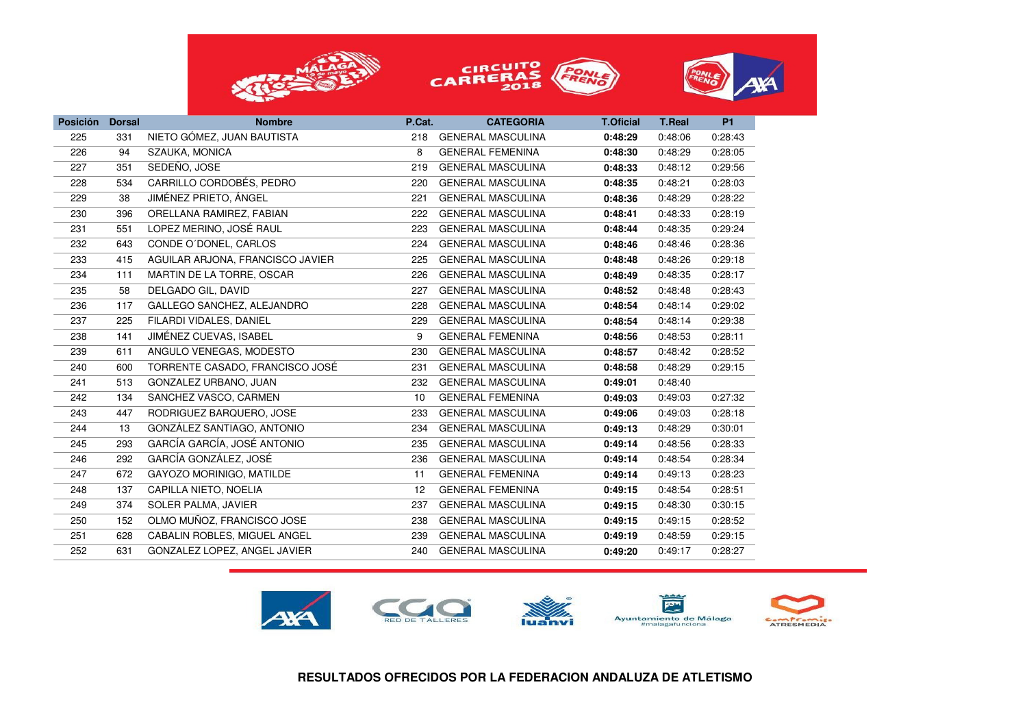





| <b>Posición</b> | <b>Dorsal</b> | <b>Nombre</b>                    | P.Cat.          | <b>CATEGORIA</b>         | <b>T.Oficial</b> | <b>T.Real</b> | <b>P1</b> |
|-----------------|---------------|----------------------------------|-----------------|--------------------------|------------------|---------------|-----------|
| 225             | 331           | NIETO GÓMEZ, JUAN BAUTISTA       | 218             | <b>GENERAL MASCULINA</b> | 0:48:29          | 0:48:06       | 0:28:43   |
| 226             | 94            | SZAUKA, MONICA                   | 8               | <b>GENERAL FEMENINA</b>  | 0:48:30          | 0:48:29       | 0:28:05   |
| 227             | 351           | SEDEÑO, JOSE                     | 219             | <b>GENERAL MASCULINA</b> | 0:48:33          | 0:48:12       | 0:29:56   |
| 228             | 534           | CARRILLO CORDOBÉS, PEDRO         | 220             | <b>GENERAL MASCULINA</b> | 0:48:35          | 0:48:21       | 0:28:03   |
| 229             | 38            | JIMÉNEZ PRIETO, ÁNGEL            | 221             | <b>GENERAL MASCULINA</b> | 0:48:36          | 0:48:29       | 0:28:22   |
| 230             | 396           | ORELLANA RAMIREZ, FABIAN         | 222             | <b>GENERAL MASCULINA</b> | 0:48:41          | 0:48:33       | 0:28:19   |
| 231             | 551           | LOPEZ MERINO, JOSÉ RAUL          | 223             | <b>GENERAL MASCULINA</b> | 0:48:44          | 0:48:35       | 0:29:24   |
| 232             | 643           | CONDE O'DONEL, CARLOS            | 224             | <b>GENERAL MASCULINA</b> | 0:48:46          | 0:48:46       | 0:28:36   |
| 233             | 415           | AGUILAR ARJONA, FRANCISCO JAVIER | 225             | <b>GENERAL MASCULINA</b> | 0:48:48          | 0:48:26       | 0:29:18   |
| 234             | 111           | MARTIN DE LA TORRE, OSCAR        | 226             | <b>GENERAL MASCULINA</b> | 0:48:49          | 0:48:35       | 0:28:17   |
| 235             | 58            | DELGADO GIL, DAVID               | 227             | <b>GENERAL MASCULINA</b> | 0:48:52          | 0:48:48       | 0:28:43   |
| 236             | 117           | GALLEGO SANCHEZ, ALEJANDRO       | 228             | <b>GENERAL MASCULINA</b> | 0:48:54          | 0:48:14       | 0:29:02   |
| 237             | 225           | FILARDI VIDALES, DANIEL          | 229             | <b>GENERAL MASCULINA</b> | 0:48:54          | 0:48:14       | 0:29:38   |
| 238             | 141           | JIMÉNEZ CUEVAS, ISABEL           | 9               | <b>GENERAL FEMENINA</b>  | 0:48:56          | 0:48:53       | 0:28:11   |
| 239             | 611           | ANGULO VENEGAS, MODESTO          | 230             | <b>GENERAL MASCULINA</b> | 0:48:57          | 0:48:42       | 0:28:52   |
| 240             | 600           | TORRENTE CASADO, FRANCISCO JOSÉ  | 231             | <b>GENERAL MASCULINA</b> | 0:48:58          | 0:48:29       | 0:29:15   |
| 241             | 513           | GONZALEZ URBANO, JUAN            | 232             | <b>GENERAL MASCULINA</b> | 0:49:01          | 0:48:40       |           |
| 242             | 134           | SANCHEZ VASCO, CARMEN            | 10              | <b>GENERAL FEMENINA</b>  | 0:49:03          | 0:49:03       | 0:27:32   |
| 243             | 447           | RODRIGUEZ BARQUERO, JOSE         | 233             | <b>GENERAL MASCULINA</b> | 0:49:06          | 0:49:03       | 0:28:18   |
| 244             | 13            | GONZÁLEZ SANTIAGO, ANTONIO       | 234             | <b>GENERAL MASCULINA</b> | 0:49:13          | 0:48:29       | 0:30:01   |
| 245             | 293           | GARCÍA GARCÍA, JOSÉ ANTONIO      | 235             | <b>GENERAL MASCULINA</b> | 0:49:14          | 0:48:56       | 0:28:33   |
| 246             | 292           | GARCÍA GONZÁLEZ, JOSÉ            | 236             | <b>GENERAL MASCULINA</b> | 0:49:14          | 0:48:54       | 0:28:34   |
| 247             | 672           | GAYOZO MORINIGO, MATILDE         | 11              | <b>GENERAL FEMENINA</b>  | 0:49:14          | 0:49:13       | 0:28:23   |
| 248             | 137           | CAPILLA NIETO, NOELIA            | 12 <sup>°</sup> | <b>GENERAL FEMENINA</b>  | 0:49:15          | 0:48:54       | 0:28:51   |
| 249             | 374           | SOLER PALMA, JAVIER              | 237             | <b>GENERAL MASCULINA</b> | 0:49:15          | 0:48:30       | 0:30:15   |
| 250             | 152           | OLMO MUÑOZ, FRANCISCO JOSE       | 238             | <b>GENERAL MASCULINA</b> | 0:49:15          | 0:49:15       | 0:28:52   |
| 251             | 628           | CABALIN ROBLES, MIGUEL ANGEL     | 239             | <b>GENERAL MASCULINA</b> | 0:49:19          | 0:48:59       | 0:29:15   |
| 252             | 631           | GONZALEZ LOPEZ, ANGEL JAVIER     | 240             | <b>GENERAL MASCULINA</b> | 0:49:20          | 0:49:17       | 0:28:27   |

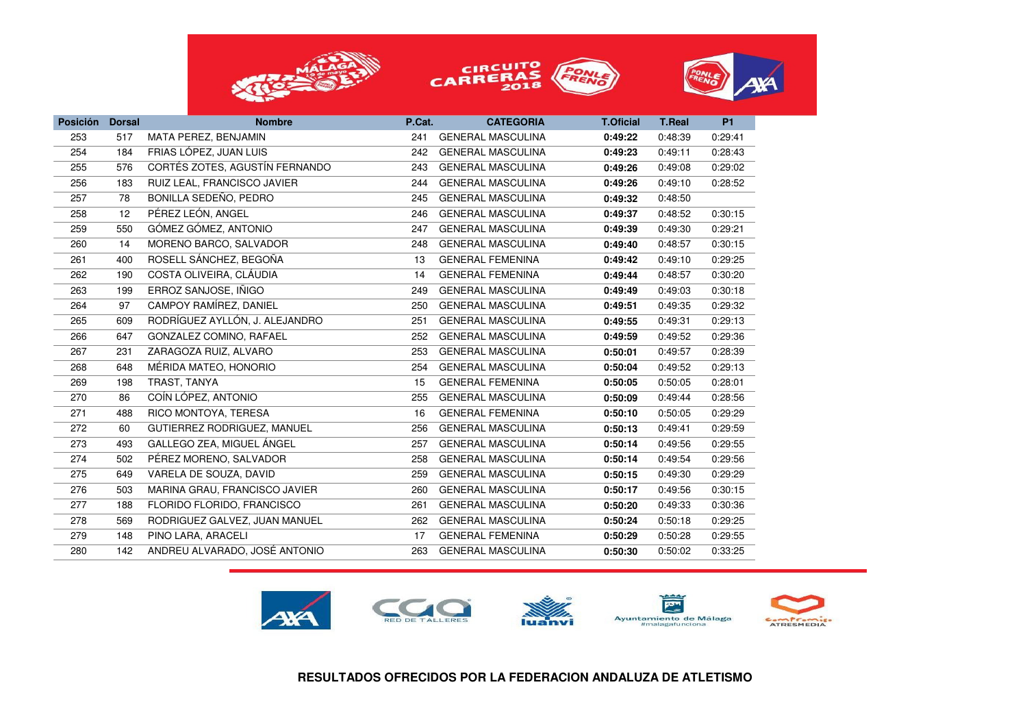





| <b>Posición</b> | <b>Dorsal</b> | <b>Nombre</b>                  | P.Cat. | <b>CATEGORIA</b>         | <b>T.Oficial</b> | <b>T.Real</b> | <b>P1</b> |
|-----------------|---------------|--------------------------------|--------|--------------------------|------------------|---------------|-----------|
| 253             | 517           | MATA PEREZ, BENJAMIN           | 241    | <b>GENERAL MASCULINA</b> | 0:49:22          | 0:48:39       | 0:29:41   |
| 254             | 184           | FRIAS LÓPEZ, JUAN LUIS         | 242    | <b>GENERAL MASCULINA</b> | 0:49:23          | 0:49:11       | 0:28:43   |
| 255             | 576           | CORTÉS ZOTES, AGUSTÍN FERNANDO | 243    | <b>GENERAL MASCULINA</b> | 0:49:26          | 0:49:08       | 0:29:02   |
| 256             | 183           | RUIZ LEAL, FRANCISCO JAVIER    | 244    | <b>GENERAL MASCULINA</b> | 0:49:26          | 0:49:10       | 0:28:52   |
| 257             | 78            | BONILLA SEDEÑO, PEDRO          | 245    | <b>GENERAL MASCULINA</b> | 0:49:32          | 0:48:50       |           |
| 258             | 12            | PÉREZ LEÓN, ANGEL              | 246    | <b>GENERAL MASCULINA</b> | 0:49:37          | 0:48:52       | 0:30:15   |
| 259             | 550           | GÓMEZ GÓMEZ, ANTONIO           | 247    | <b>GENERAL MASCULINA</b> | 0:49:39          | 0:49:30       | 0:29:21   |
| 260             | 14            | MORENO BARCO, SALVADOR         | 248    | <b>GENERAL MASCULINA</b> | 0:49:40          | 0:48:57       | 0:30:15   |
| 261             | 400           | ROSELL SÁNCHEZ, BEGOÑA         | 13     | <b>GENERAL FEMENINA</b>  | 0:49:42          | 0:49:10       | 0:29:25   |
| 262             | 190           | COSTA OLIVEIRA, CLÁUDIA        | 14     | <b>GENERAL FEMENINA</b>  | 0:49:44          | 0:48:57       | 0:30:20   |
| 263             | 199           | ERROZ SANJOSE, IÑIGO           | 249    | <b>GENERAL MASCULINA</b> | 0:49:49          | 0:49:03       | 0:30:18   |
| 264             | 97            | CAMPOY RAMÍREZ, DANIEL         | 250    | <b>GENERAL MASCULINA</b> | 0:49:51          | 0:49:35       | 0:29:32   |
| 265             | 609           | RODRÍGUEZ AYLLÓN, J. ALEJANDRO | 251    | <b>GENERAL MASCULINA</b> | 0:49:55          | 0:49:31       | 0:29:13   |
| 266             | 647           | GONZALEZ COMINO, RAFAEL        | 252    | <b>GENERAL MASCULINA</b> | 0:49:59          | 0:49:52       | 0:29:36   |
| 267             | 231           | ZARAGOZA RUIZ, ALVARO          | 253    | <b>GENERAL MASCULINA</b> | 0:50:01          | 0:49:57       | 0:28:39   |
| 268             | 648           | MÉRIDA MATEO, HONORIO          | 254    | <b>GENERAL MASCULINA</b> | 0:50:04          | 0:49:52       | 0:29:13   |
| 269             | 198           | TRAST, TANYA                   | 15     | <b>GENERAL FEMENINA</b>  | 0:50:05          | 0:50:05       | 0:28:01   |
| 270             | 86            | COÍN LÓPEZ, ANTONIO            | 255    | <b>GENERAL MASCULINA</b> | 0:50:09          | 0:49:44       | 0:28:56   |
| 271             | 488           | RICO MONTOYA, TERESA           | 16     | <b>GENERAL FEMENINA</b>  | 0:50:10          | 0:50:05       | 0:29:29   |
| 272             | 60            | GUTIERREZ RODRIGUEZ, MANUEL    | 256    | <b>GENERAL MASCULINA</b> | 0:50:13          | 0:49:41       | 0:29:59   |
| 273             | 493           | GALLEGO ZEA, MIGUEL ÁNGEL      | 257    | <b>GENERAL MASCULINA</b> | 0:50:14          | 0:49:56       | 0:29:55   |
| 274             | 502           | PÉREZ MORENO, SALVADOR         | 258    | <b>GENERAL MASCULINA</b> | 0:50:14          | 0:49:54       | 0:29:56   |
| 275             | 649           | VARELA DE SOUZA, DAVID         | 259    | <b>GENERAL MASCULINA</b> | 0:50:15          | 0:49:30       | 0:29:29   |
| 276             | 503           | MARINA GRAU, FRANCISCO JAVIER  | 260    | <b>GENERAL MASCULINA</b> | 0:50:17          | 0:49:56       | 0:30:15   |
| 277             | 188           | FLORIDO FLORIDO, FRANCISCO     | 261    | <b>GENERAL MASCULINA</b> | 0:50:20          | 0:49:33       | 0:30:36   |
| 278             | 569           | RODRIGUEZ GALVEZ, JUAN MANUEL  | 262    | <b>GENERAL MASCULINA</b> | 0:50:24          | 0:50:18       | 0:29:25   |
| 279             | 148           | PINO LARA, ARACELI             | 17     | <b>GENERAL FEMENINA</b>  | 0:50:29          | 0:50:28       | 0:29:55   |
| 280             | 142           | ANDREU ALVARADO, JOSÉ ANTONIO  | 263    | <b>GENERAL MASCULINA</b> | 0:50:30          | 0:50:02       | 0:33:25   |
|                 |               |                                |        |                          |                  |               |           |

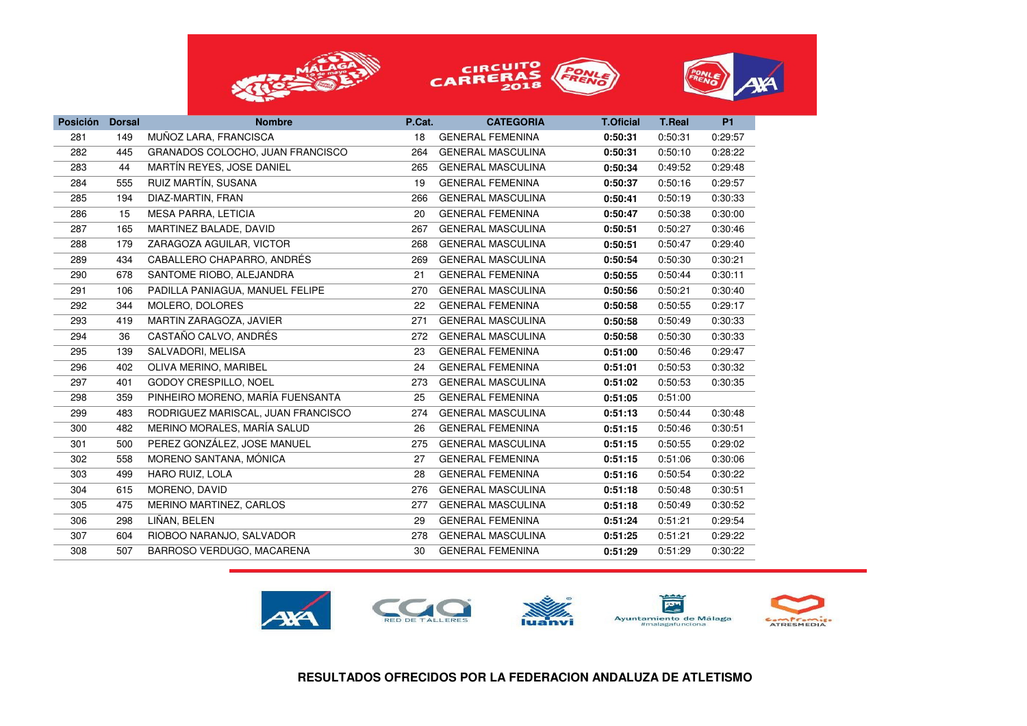





| <b>Posición</b> | <b>Dorsal</b> | <b>Nombre</b>                      | P.Cat. | <b>CATEGORIA</b>         | <b>T.Oficial</b> | <b>T.Real</b> | <b>P1</b> |
|-----------------|---------------|------------------------------------|--------|--------------------------|------------------|---------------|-----------|
| 281             | 149           | MUÑOZ LARA, FRANCISCA              | 18     | <b>GENERAL FEMENINA</b>  | 0:50:31          | 0:50:31       | 0:29:57   |
| 282             | 445           | GRANADOS COLOCHO, JUAN FRANCISCO   | 264    | <b>GENERAL MASCULINA</b> | 0:50:31          | 0:50:10       | 0:28:22   |
| 283             | 44            | MARTÍN REYES, JOSE DANIEL          | 265    | <b>GENERAL MASCULINA</b> | 0:50:34          | 0:49:52       | 0:29:48   |
| 284             | 555           | RUIZ MARTIN, SUSANA                | 19     | <b>GENERAL FEMENINA</b>  | 0:50:37          | 0:50:16       | 0:29:57   |
| 285             | 194           | DIAZ-MARTIN, FRAN                  | 266    | <b>GENERAL MASCULINA</b> | 0:50:41          | 0:50:19       | 0:30:33   |
| 286             | 15            | <b>MESA PARRA, LETICIA</b>         | 20     | <b>GENERAL FEMENINA</b>  | 0:50:47          | 0:50:38       | 0:30:00   |
| 287             | 165           | MARTINEZ BALADE, DAVID             | 267    | <b>GENERAL MASCULINA</b> | 0:50:51          | 0:50:27       | 0:30:46   |
| 288             | 179           | ZARAGOZA AGUILAR, VICTOR           | 268    | <b>GENERAL MASCULINA</b> | 0:50:51          | 0:50:47       | 0:29:40   |
| 289             | 434           | CABALLERO CHAPARRO, ANDRÉS         | 269    | <b>GENERAL MASCULINA</b> | 0:50:54          | 0:50:30       | 0:30:21   |
| 290             | 678           | SANTOME RIOBO, ALEJANDRA           | 21     | <b>GENERAL FEMENINA</b>  | 0:50:55          | 0:50:44       | 0:30:11   |
| 291             | 106           | PADILLA PANIAGUA, MANUEL FELIPE    | 270    | <b>GENERAL MASCULINA</b> | 0:50:56          | 0:50:21       | 0:30:40   |
| 292             | 344           | MOLERO, DOLORES                    | 22     | <b>GENERAL FEMENINA</b>  | 0:50:58          | 0:50:55       | 0:29:17   |
| 293             | 419           | MARTIN ZARAGOZA, JAVIER            | 271    | <b>GENERAL MASCULINA</b> | 0:50:58          | 0:50:49       | 0:30:33   |
| 294             | 36            | CASTAÑO CALVO, ANDRÉS              | 272    | <b>GENERAL MASCULINA</b> | 0:50:58          | 0:50:30       | 0:30:33   |
| 295             | 139           | SALVADORI, MELISA                  | 23     | <b>GENERAL FEMENINA</b>  | 0:51:00          | 0:50:46       | 0:29:47   |
| 296             | 402           | OLIVA MERINO, MARIBEL              | 24     | <b>GENERAL FEMENINA</b>  | 0:51:01          | 0:50:53       | 0:30:32   |
| 297             | 401           | GODOY CRESPILLO, NOEL              | 273    | <b>GENERAL MASCULINA</b> | 0:51:02          | 0:50:53       | 0:30:35   |
| 298             | 359           | PINHEIRO MORENO, MARÍA FUENSANTA   | 25     | <b>GENERAL FEMENINA</b>  | 0:51:05          | 0:51:00       |           |
| 299             | 483           | RODRIGUEZ MARISCAL, JUAN FRANCISCO | 274    | <b>GENERAL MASCULINA</b> | 0:51:13          | 0:50:44       | 0:30:48   |
| 300             | 482           | MERINO MORALES, MARÍA SALUD        | 26     | <b>GENERAL FEMENINA</b>  | 0:51:15          | 0:50:46       | 0:30:51   |
| 301             | 500           | PEREZ GONZÁLEZ, JOSE MANUEL        | 275    | <b>GENERAL MASCULINA</b> | 0:51:15          | 0:50:55       | 0:29:02   |
| 302             | 558           | MORENO SANTANA, MÓNICA             | 27     | <b>GENERAL FEMENINA</b>  | 0:51:15          | 0:51:06       | 0:30:06   |
| 303             | 499           | HARO RUIZ, LOLA                    | 28     | <b>GENERAL FEMENINA</b>  | 0:51:16          | 0:50:54       | 0:30:22   |
| 304             | 615           | MORENO, DAVID                      | 276    | <b>GENERAL MASCULINA</b> | 0:51:18          | 0:50:48       | 0:30:51   |
| 305             | 475           | MERINO MARTINEZ, CARLOS            | 277    | <b>GENERAL MASCULINA</b> | 0:51:18          | 0:50:49       | 0:30:52   |
| 306             | 298           | LIÑAN, BELEN                       | 29     | <b>GENERAL FEMENINA</b>  | 0:51:24          | 0:51:21       | 0:29:54   |
| 307             | 604           | RIOBOO NARANJO, SALVADOR           | 278    | <b>GENERAL MASCULINA</b> | 0:51:25          | 0:51:21       | 0:29:22   |
| 308             | 507           | BARROSO VERDUGO, MACARENA          | 30     | <b>GENERAL FEMENINA</b>  | 0:51:29          | 0:51:29       | 0:30:22   |
|                 |               |                                    |        |                          |                  |               |           |

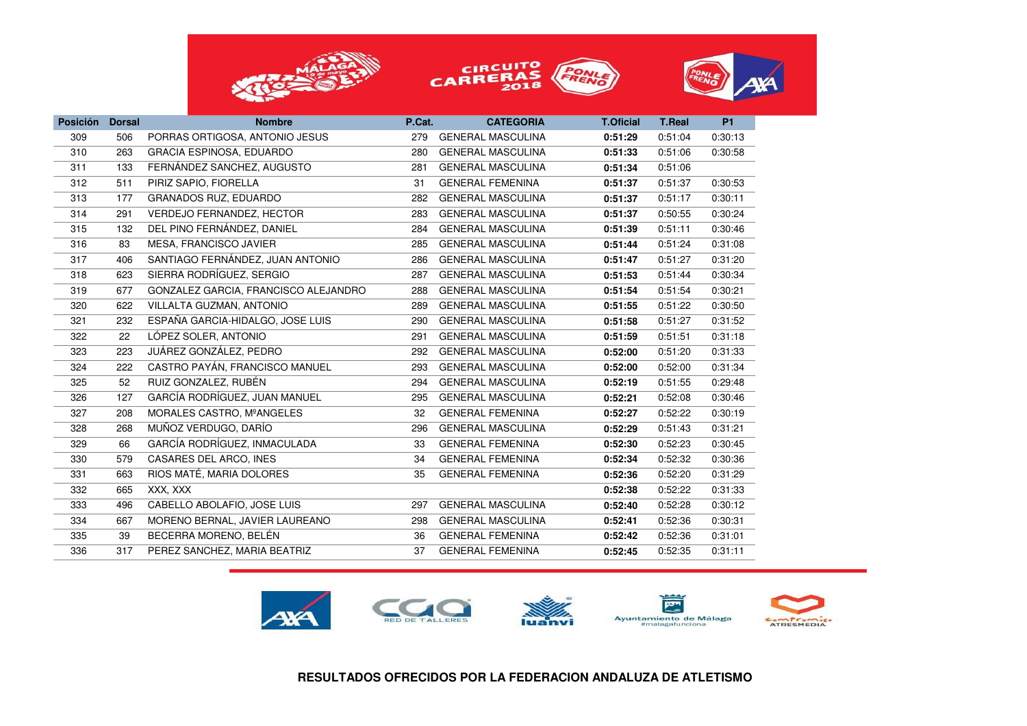





| <b>Posición</b> | <b>Dorsal</b> | <b>Nombre</b>                        | P.Cat. | <b>CATEGORIA</b>         | <b>T.Oficial</b> | <b>T.Real</b> | <b>P1</b> |
|-----------------|---------------|--------------------------------------|--------|--------------------------|------------------|---------------|-----------|
| 309             | 506           | PORRAS ORTIGOSA, ANTONIO JESUS       | 279    | <b>GENERAL MASCULINA</b> | 0:51:29          | 0:51:04       | 0:30:13   |
| 310             | 263           | <b>GRACIA ESPINOSA, EDUARDO</b>      | 280    | <b>GENERAL MASCULINA</b> | 0:51:33          | 0:51:06       | 0:30:58   |
| 311             | 133           | FERNÁNDEZ SANCHEZ, AUGUSTO           | 281    | <b>GENERAL MASCULINA</b> | 0:51:34          | 0:51:06       |           |
| 312             | 511           | PIRIZ SAPIO, FIORELLA                | 31     | <b>GENERAL FEMENINA</b>  | 0:51:37          | 0:51:37       | 0:30:53   |
| 313             | 177           | <b>GRANADOS RUZ, EDUARDO</b>         | 282    | <b>GENERAL MASCULINA</b> | 0:51:37          | 0:51:17       | 0:30:11   |
| 314             | 291           | VERDEJO FERNANDEZ, HECTOR            | 283    | <b>GENERAL MASCULINA</b> | 0:51:37          | 0:50:55       | 0:30:24   |
| 315             | 132           | DEL PINO FERNÁNDEZ, DANIEL           | 284    | <b>GENERAL MASCULINA</b> | 0:51:39          | 0:51:11       | 0:30:46   |
| 316             | 83            | MESA, FRANCISCO JAVIER               | 285    | <b>GENERAL MASCULINA</b> | 0:51:44          | 0:51:24       | 0:31:08   |
| 317             | 406           | SANTIAGO FERNÁNDEZ, JUAN ANTONIO     | 286    | <b>GENERAL MASCULINA</b> | 0:51:47          | 0:51:27       | 0:31:20   |
| 318             | 623           | SIERRA RODRÍGUEZ, SERGIO             | 287    | <b>GENERAL MASCULINA</b> | 0:51:53          | 0:51:44       | 0:30:34   |
| 319             | 677           | GONZALEZ GARCIA, FRANCISCO ALEJANDRO | 288    | <b>GENERAL MASCULINA</b> | 0:51:54          | 0:51:54       | 0:30:21   |
| 320             | 622           | VILLALTA GUZMAN, ANTONIO             | 289    | <b>GENERAL MASCULINA</b> | 0:51:55          | 0:51:22       | 0:30:50   |
| 321             | 232           | ESPAÑA GARCIA-HIDALGO, JOSE LUIS     | 290    | <b>GENERAL MASCULINA</b> | 0:51:58          | 0:51:27       | 0:31:52   |
| 322             | 22            | LÓPEZ SOLER, ANTONIO                 | 291    | <b>GENERAL MASCULINA</b> | 0:51:59          | 0:51:51       | 0:31:18   |
| 323             | 223           | JUÁREZ GONZÁLEZ, PEDRO               | 292    | <b>GENERAL MASCULINA</b> | 0:52:00          | 0:51:20       | 0:31:33   |
| 324             | 222           | CASTRO PAYÁN, FRANCISCO MANUEL       | 293    | <b>GENERAL MASCULINA</b> | 0:52:00          | 0:52:00       | 0:31:34   |
| 325             | 52            | RUIZ GONZALEZ, RUBÉN                 | 294    | <b>GENERAL MASCULINA</b> | 0:52:19          | 0:51:55       | 0:29:48   |
| 326             | 127           | GARCÍA RODRÍGUEZ, JUAN MANUEL        | 295    | <b>GENERAL MASCULINA</b> | 0:52:21          | 0:52:08       | 0:30:46   |
| 327             | 208           | MORALES CASTRO, MºANGELES            | 32     | <b>GENERAL FEMENINA</b>  | 0:52:27          | 0:52:22       | 0:30:19   |
| 328             | 268           | MUÑOZ VERDUGO, DARÍO                 | 296    | <b>GENERAL MASCULINA</b> | 0:52:29          | 0:51:43       | 0:31:21   |
| 329             | 66            | GARCÍA RODRÍGUEZ, INMACULADA         | 33     | <b>GENERAL FEMENINA</b>  | 0:52:30          | 0:52:23       | 0:30:45   |
| 330             | 579           | CASARES DEL ARCO, INES               | 34     | <b>GENERAL FEMENINA</b>  | 0:52:34          | 0:52:32       | 0:30:36   |
| 331             | 663           | RIOS MATÉ, MARIA DOLORES             | 35     | <b>GENERAL FEMENINA</b>  | 0:52:36          | 0:52:20       | 0:31:29   |
| 332             | 665           | XXX, XXX                             |        |                          | 0:52:38          | 0:52:22       | 0:31:33   |
| 333             | 496           | CABELLO ABOLAFIO, JOSE LUIS          | 297    | <b>GENERAL MASCULINA</b> | 0:52:40          | 0:52:28       | 0:30:12   |
| 334             | 667           | MORENO BERNAL, JAVIER LAUREANO       | 298    | <b>GENERAL MASCULINA</b> | 0:52:41          | 0:52:36       | 0:30:31   |
| 335             | 39            | BECERRA MORENO, BELÉN                | 36     | <b>GENERAL FEMENINA</b>  | 0:52:42          | 0:52:36       | 0:31:01   |
| 336             | 317           | PEREZ SANCHEZ, MARIA BEATRIZ         | 37     | <b>GENERAL FEMENINA</b>  | 0:52:45          | 0:52:35       | 0:31:11   |

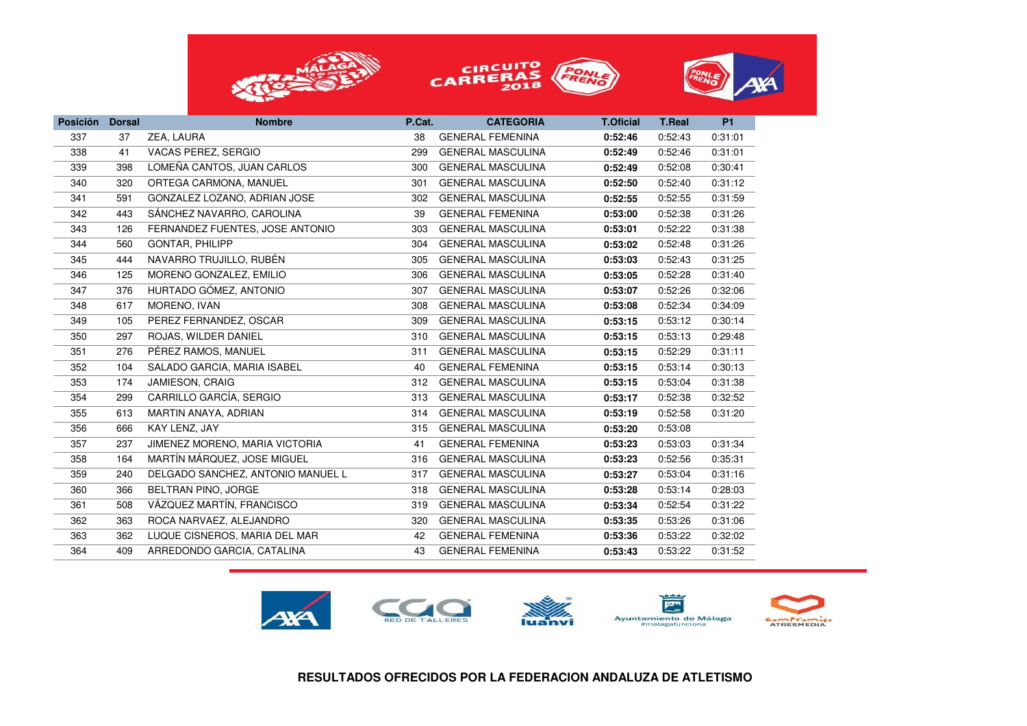





| <b>Posición</b> | <b>Dorsal</b> | <b>Nombre</b>                     | P.Cat. | <b>CATEGORIA</b>         | <b>T.Oficial</b> | <b>T.Real</b> | <b>P1</b> |
|-----------------|---------------|-----------------------------------|--------|--------------------------|------------------|---------------|-----------|
| 337             | 37            | ZEA, LAURA                        | 38     | <b>GENERAL FEMENINA</b>  | 0:52:46          | 0:52:43       | 0:31:01   |
| 338             | 41            | VACAS PEREZ, SERGIO               | 299    | <b>GENERAL MASCULINA</b> | 0:52:49          | 0:52:46       | 0:31:01   |
| 339             | 398           | LOMEÑA CANTOS, JUAN CARLOS        | 300    | <b>GENERAL MASCULINA</b> | 0:52:49          | 0:52:08       | 0:30:41   |
| 340             | 320           | ORTEGA CARMONA, MANUEL            | 301    | <b>GENERAL MASCULINA</b> | 0:52:50          | 0:52:40       | 0:31:12   |
| 341             | 591           | GONZALEZ LOZANO, ADRIAN JOSE      | 302    | <b>GENERAL MASCULINA</b> | 0:52:55          | 0:52:55       | 0:31:59   |
| 342             | 443           | SÁNCHEZ NAVARRO, CAROLINA         | 39     | <b>GENERAL FEMENINA</b>  | 0:53:00          | 0:52:38       | 0:31:26   |
| 343             | 126           | FERNANDEZ FUENTES, JOSE ANTONIO   | 303    | <b>GENERAL MASCULINA</b> | 0:53:01          | 0:52:22       | 0:31:38   |
| 344             | 560           | <b>GONTAR, PHILIPP</b>            | 304    | <b>GENERAL MASCULINA</b> | 0:53:02          | 0:52:48       | 0:31:26   |
| 345             | 444           | NAVARRO TRUJILLO, RUBÉN           | 305    | <b>GENERAL MASCULINA</b> | 0:53:03          | 0:52:43       | 0:31:25   |
| 346             | 125           | MORENO GONZALEZ, EMILIO           | 306    | <b>GENERAL MASCULINA</b> | 0:53:05          | 0:52:28       | 0:31:40   |
| 347             | 376           | HURTADO GÓMEZ, ANTONIO            | 307    | <b>GENERAL MASCULINA</b> | 0:53:07          | 0:52:26       | 0:32:06   |
| 348             | 617           | MORENO, IVAN                      | 308    | <b>GENERAL MASCULINA</b> | 0:53:08          | 0:52:34       | 0:34:09   |
| 349             | 105           | PEREZ FERNANDEZ, OSCAR            | 309    | <b>GENERAL MASCULINA</b> | 0:53:15          | 0:53:12       | 0:30:14   |
| 350             | 297           | ROJAS, WILDER DANIEL              | 310    | <b>GENERAL MASCULINA</b> | 0:53:15          | 0:53:13       | 0:29:48   |
| 351             | 276           | PÉREZ RAMOS, MANUEL               | 311    | <b>GENERAL MASCULINA</b> | 0:53:15          | 0:52:29       | 0:31:11   |
| 352             | 104           | SALADO GARCIA, MARIA ISABEL       | 40     | <b>GENERAL FEMENINA</b>  | 0:53:15          | 0:53:14       | 0:30:13   |
| 353             | 174           | JAMIESON, CRAIG                   | 312    | <b>GENERAL MASCULINA</b> | 0:53:15          | 0:53:04       | 0:31:38   |
| 354             | 299           | CARRILLO GARCÍA, SERGIO           | 313    | <b>GENERAL MASCULINA</b> | 0:53:17          | 0:52:38       | 0:32:52   |
| 355             | 613           | MARTIN ANAYA, ADRIAN              | 314    | <b>GENERAL MASCULINA</b> | 0:53:19          | 0:52:58       | 0:31:20   |
| 356             | 666           | KAY LENZ, JAY                     | 315    | <b>GENERAL MASCULINA</b> | 0:53:20          | 0:53:08       |           |
| 357             | 237           | JIMENEZ MORENO, MARIA VICTORIA    | 41     | <b>GENERAL FEMENINA</b>  | 0:53:23          | 0:53:03       | 0:31:34   |
| 358             | 164           | MARTÍN MÁRQUEZ, JOSE MIGUEL       | 316    | <b>GENERAL MASCULINA</b> | 0:53:23          | 0:52:56       | 0:35:31   |
| 359             | 240           | DELGADO SANCHEZ, ANTONIO MANUEL L | 317    | <b>GENERAL MASCULINA</b> | 0:53:27          | 0:53:04       | 0:31:16   |
| 360             | 366           | BELTRAN PINO, JORGE               | 318    | <b>GENERAL MASCULINA</b> | 0:53:28          | 0:53:14       | 0:28:03   |
| 361             | 508           | VÁZQUEZ MARTÍN, FRANCISCO         | 319    | <b>GENERAL MASCULINA</b> | 0:53:34          | 0:52:54       | 0:31:22   |
| 362             | 363           | ROCA NARVAEZ, ALEJANDRO           | 320    | <b>GENERAL MASCULINA</b> | 0:53:35          | 0:53:26       | 0:31:06   |
| 363             | 362           | LUQUE CISNEROS, MARIA DEL MAR     | 42     | <b>GENERAL FEMENINA</b>  | 0:53:36          | 0:53:22       | 0:32:02   |
| 364             | 409           | ARREDONDO GARCIA, CATALINA        | 43     | <b>GENERAL FEMENINA</b>  | 0:53:43          | 0:53:22       | 0:31:52   |
|                 |               |                                   |        |                          |                  |               |           |

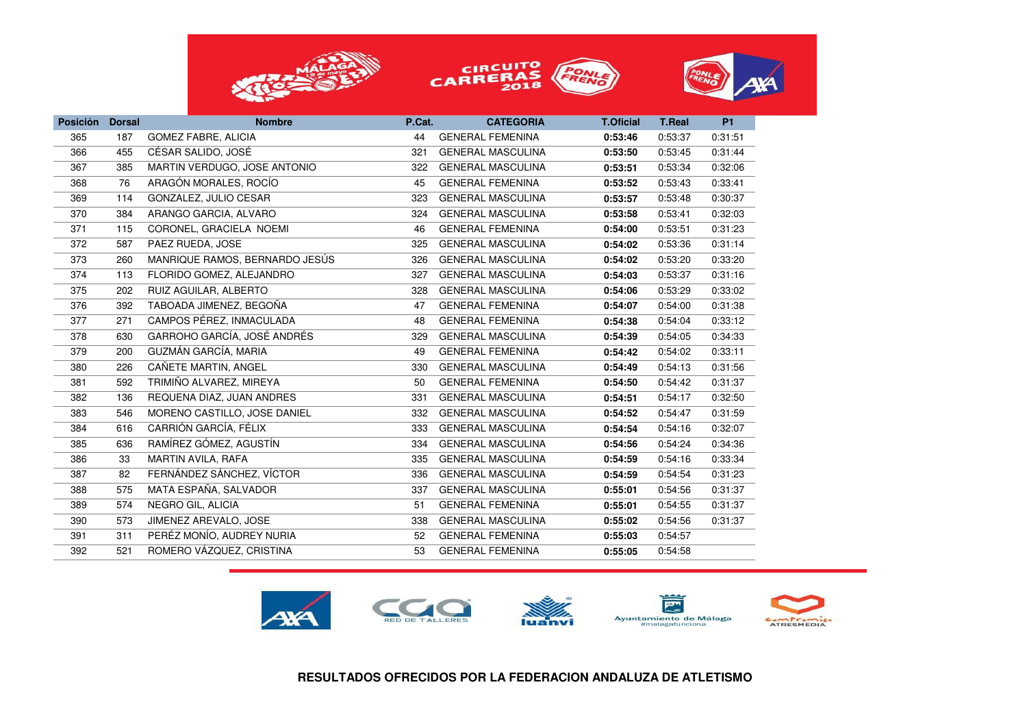





| <b>Posición</b> | <b>Dorsal</b> | <b>Nombre</b>                  | P.Cat. | <b>CATEGORIA</b>         | <b>T.Oficial</b> | <b>T.Real</b> | <b>P1</b> |
|-----------------|---------------|--------------------------------|--------|--------------------------|------------------|---------------|-----------|
| 365             | 187           | <b>GOMEZ FABRE, ALICIA</b>     | 44     | <b>GENERAL FEMENINA</b>  | 0:53:46          | 0:53:37       | 0:31:51   |
| 366             | 455           | CÉSAR SALIDO, JOSÉ             | 321    | <b>GENERAL MASCULINA</b> | 0:53:50          | 0:53:45       | 0:31:44   |
| 367             | 385           | MARTIN VERDUGO, JOSE ANTONIO   | 322    | <b>GENERAL MASCULINA</b> | 0:53:51          | 0:53:34       | 0:32:06   |
| 368             | 76            | ARAGÓN MORALES, ROCÍO          | 45     | <b>GENERAL FEMENINA</b>  | 0:53:52          | 0:53:43       | 0:33:41   |
| 369             | 114           | GONZALEZ, JULIO CESAR          | 323    | <b>GENERAL MASCULINA</b> | 0:53:57          | 0:53:48       | 0:30:37   |
| 370             | 384           | ARANGO GARCIA, ALVARO          | 324    | <b>GENERAL MASCULINA</b> | 0:53:58          | 0:53:41       | 0:32:03   |
| 371             | 115           | CORONEL, GRACIELA NOEMI        | 46     | <b>GENERAL FEMENINA</b>  | 0:54:00          | 0:53:51       | 0:31:23   |
| 372             | 587           | PAEZ RUEDA, JOSE               | 325    | <b>GENERAL MASCULINA</b> | 0:54:02          | 0:53:36       | 0:31:14   |
| 373             | 260           | MANRIQUE RAMOS, BERNARDO JESÚS | 326    | <b>GENERAL MASCULINA</b> | 0:54:02          | 0:53:20       | 0:33:20   |
| 374             | 113           | FLORIDO GOMEZ, ALEJANDRO       | 327    | <b>GENERAL MASCULINA</b> | 0:54:03          | 0:53:37       | 0:31:16   |
| 375             | 202           | RUIZ AGUILAR, ALBERTO          | 328    | <b>GENERAL MASCULINA</b> | 0:54:06          | 0:53:29       | 0:33:02   |
| 376             | 392           | TABOADA JIMENEZ, BEGOÑA        | 47     | <b>GENERAL FEMENINA</b>  | 0:54:07          | 0:54:00       | 0:31:38   |
| 377             | 271           | CAMPOS PÉREZ, INMACULADA       | 48     | <b>GENERAL FEMENINA</b>  | 0:54:38          | 0:54:04       | 0:33:12   |
| 378             | 630           | GARROHO GARCÍA, JOSÉ ANDRÉS    | 329    | <b>GENERAL MASCULINA</b> | 0:54:39          | 0:54:05       | 0:34:33   |
| 379             | 200           | GUZMÁN GARCÍA, MARIA           | 49     | <b>GENERAL FEMENINA</b>  | 0:54:42          | 0:54:02       | 0:33:11   |
| 380             | 226           | CAÑETE MARTIN, ANGEL           | 330    | <b>GENERAL MASCULINA</b> | 0:54:49          | 0:54:13       | 0:31:56   |
| 381             | 592           | TRIMIÑO ALVAREZ, MIREYA        | 50     | <b>GENERAL FEMENINA</b>  | 0:54:50          | 0:54:42       | 0:31:37   |
| 382             | 136           | REQUENA DIAZ, JUAN ANDRES      | 331    | <b>GENERAL MASCULINA</b> | 0:54:51          | 0:54:17       | 0:32:50   |
| 383             | 546           | MORENO CASTILLO, JOSE DANIEL   | 332    | <b>GENERAL MASCULINA</b> | 0:54:52          | 0:54:47       | 0:31:59   |
| 384             | 616           | CARRIÓN GARCÍA, FÉLIX          | 333    | <b>GENERAL MASCULINA</b> | 0:54:54          | 0:54:16       | 0:32:07   |
| 385             | 636           | RAMÍREZ GÓMEZ, AGUSTÍN         | 334    | <b>GENERAL MASCULINA</b> | 0:54:56          | 0:54:24       | 0:34:36   |
| 386             | 33            | MARTIN AVILA, RAFA             | 335    | <b>GENERAL MASCULINA</b> | 0:54:59          | 0:54:16       | 0:33:34   |
| 387             | 82            | FERNÁNDEZ SÁNCHEZ, VÍCTOR      | 336    | <b>GENERAL MASCULINA</b> | 0:54:59          | 0:54:54       | 0:31:23   |
| 388             | 575           | MATA ESPAÑA, SALVADOR          | 337    | <b>GENERAL MASCULINA</b> | 0:55:01          | 0:54:56       | 0:31:37   |
| 389             | 574           | NEGRO GIL, ALICIA              | 51     | <b>GENERAL FEMENINA</b>  | 0:55:01          | 0:54:55       | 0:31:37   |
| 390             | 573           | JIMENEZ AREVALO, JOSE          | 338    | <b>GENERAL MASCULINA</b> | 0:55:02          | 0:54:56       | 0:31:37   |
| 391             | 311           | PERÉZ MONÍO, AUDREY NURIA      | 52     | <b>GENERAL FEMENINA</b>  | 0:55:03          | 0:54:57       |           |
| 392             | 521           | ROMERO VÁZQUEZ, CRISTINA       | 53     | <b>GENERAL FEMENINA</b>  | 0:55:05          | 0:54:58       |           |
|                 |               |                                |        |                          |                  |               |           |

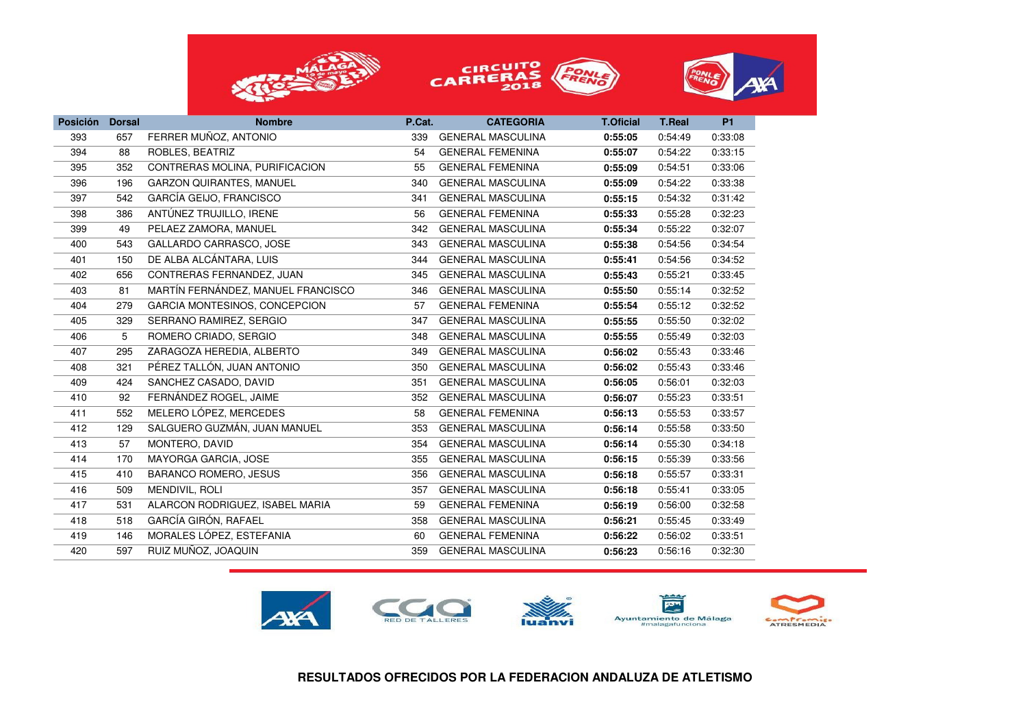





| <b>Posición</b> | <b>Dorsal</b> | <b>Nombre</b>                      | P.Cat. | <b>CATEGORIA</b>         | <b>T.Oficial</b> | <b>T.Real</b> | <b>P1</b> |
|-----------------|---------------|------------------------------------|--------|--------------------------|------------------|---------------|-----------|
| 393             | 657           | FERRER MUÑOZ, ANTONIO              | 339    | <b>GENERAL MASCULINA</b> | 0:55:05          | 0:54:49       | 0:33:08   |
| 394             | 88            | ROBLES, BEATRIZ                    | 54     | <b>GENERAL FEMENINA</b>  | 0:55:07          | 0:54:22       | 0:33:15   |
| 395             | 352           | CONTRERAS MOLINA, PURIFICACION     | 55     | <b>GENERAL FEMENINA</b>  | 0:55:09          | 0:54:51       | 0:33:06   |
| 396             | 196           | <b>GARZON QUIRANTES, MANUEL</b>    | 340    | <b>GENERAL MASCULINA</b> | 0:55:09          | 0:54:22       | 0:33:38   |
| 397             | 542           | GARCÍA GEIJO, FRANCISCO            | 341    | <b>GENERAL MASCULINA</b> | 0:55:15          | 0:54:32       | 0:31:42   |
| 398             | 386           | ANTÚNEZ TRUJILLO, IRENE            | 56     | <b>GENERAL FEMENINA</b>  | 0:55:33          | 0:55:28       | 0:32:23   |
| 399             | 49            | PELAEZ ZAMORA, MANUEL              | 342    | <b>GENERAL MASCULINA</b> | 0:55:34          | 0:55:22       | 0:32:07   |
| 400             | 543           | GALLARDO CARRASCO, JOSE            | 343    | <b>GENERAL MASCULINA</b> | 0:55:38          | 0:54:56       | 0:34:54   |
| 401             | 150           | DE ALBA ALCÁNTARA, LUIS            | 344    | <b>GENERAL MASCULINA</b> | 0:55:41          | 0:54:56       | 0:34:52   |
| 402             | 656           | CONTRERAS FERNANDEZ, JUAN          | 345    | <b>GENERAL MASCULINA</b> | 0:55:43          | 0:55:21       | 0:33:45   |
| 403             | 81            | MARTÍN FERNÁNDEZ, MANUEL FRANCISCO | 346    | <b>GENERAL MASCULINA</b> | 0:55:50          | 0:55:14       | 0:32:52   |
| 404             | 279           | GARCIA MONTESINOS, CONCEPCION      | 57     | <b>GENERAL FEMENINA</b>  | 0:55:54          | 0:55:12       | 0:32:52   |
| 405             | 329           | SERRANO RAMIREZ, SERGIO            | 347    | <b>GENERAL MASCULINA</b> | 0:55:55          | 0:55:50       | 0:32:02   |
| 406             | 5             | ROMERO CRIADO, SERGIO              | 348    | <b>GENERAL MASCULINA</b> | 0:55:55          | 0:55:49       | 0:32:03   |
| 407             | 295           | ZARAGOZA HEREDIA, ALBERTO          | 349    | <b>GENERAL MASCULINA</b> | 0:56:02          | 0:55:43       | 0:33:46   |
| 408             | 321           | PÉREZ TALLÓN, JUAN ANTONIO         | 350    | <b>GENERAL MASCULINA</b> | 0:56:02          | 0:55:43       | 0:33:46   |
| 409             | 424           | SANCHEZ CASADO, DAVID              | 351    | <b>GENERAL MASCULINA</b> | 0:56:05          | 0:56:01       | 0:32:03   |
| 410             | 92            | FERNÁNDEZ ROGEL, JAIME             | 352    | <b>GENERAL MASCULINA</b> | 0:56:07          | 0:55:23       | 0:33:51   |
| 411             | 552           | MELERO LÓPEZ, MERCEDES             | 58     | <b>GENERAL FEMENINA</b>  | 0:56:13          | 0:55:53       | 0:33:57   |
| 412             | 129           | SALGUERO GUZMÁN, JUAN MANUEL       | 353    | <b>GENERAL MASCULINA</b> | 0:56:14          | 0:55:58       | 0:33:50   |
| 413             | 57            | MONTERO, DAVID                     | 354    | <b>GENERAL MASCULINA</b> | 0:56:14          | 0:55:30       | 0:34:18   |
| 414             | 170           | MAYORGA GARCIA, JOSE               | 355    | <b>GENERAL MASCULINA</b> | 0:56:15          | 0:55:39       | 0:33:56   |
| 415             | 410           | <b>BARANCO ROMERO, JESUS</b>       | 356    | <b>GENERAL MASCULINA</b> | 0:56:18          | 0:55:57       | 0:33:31   |
| 416             | 509           | MENDIVIL, ROLI                     | 357    | <b>GENERAL MASCULINA</b> | 0:56:18          | 0:55:41       | 0:33:05   |
| 417             | 531           | ALARCON RODRIGUEZ, ISABEL MARIA    | 59     | <b>GENERAL FEMENINA</b>  | 0:56:19          | 0:56:00       | 0:32:58   |
| 418             | 518           | GARCÍA GIRÓN, RAFAEL               | 358    | <b>GENERAL MASCULINA</b> | 0:56:21          | 0:55:45       | 0:33:49   |
| 419             | 146           | MORALES LÓPEZ, ESTEFANIA           | 60     | <b>GENERAL FEMENINA</b>  | 0:56:22          | 0:56:02       | 0:33:51   |
| 420             | 597           | RUIZ MUÑOZ, JOAQUIN                | 359    | <b>GENERAL MASCULINA</b> | 0:56:23          | 0:56:16       | 0:32:30   |



**RESULTADOS OFRECIDOS POR LA FEDERACION ANDALUZA DE ATLETISMO**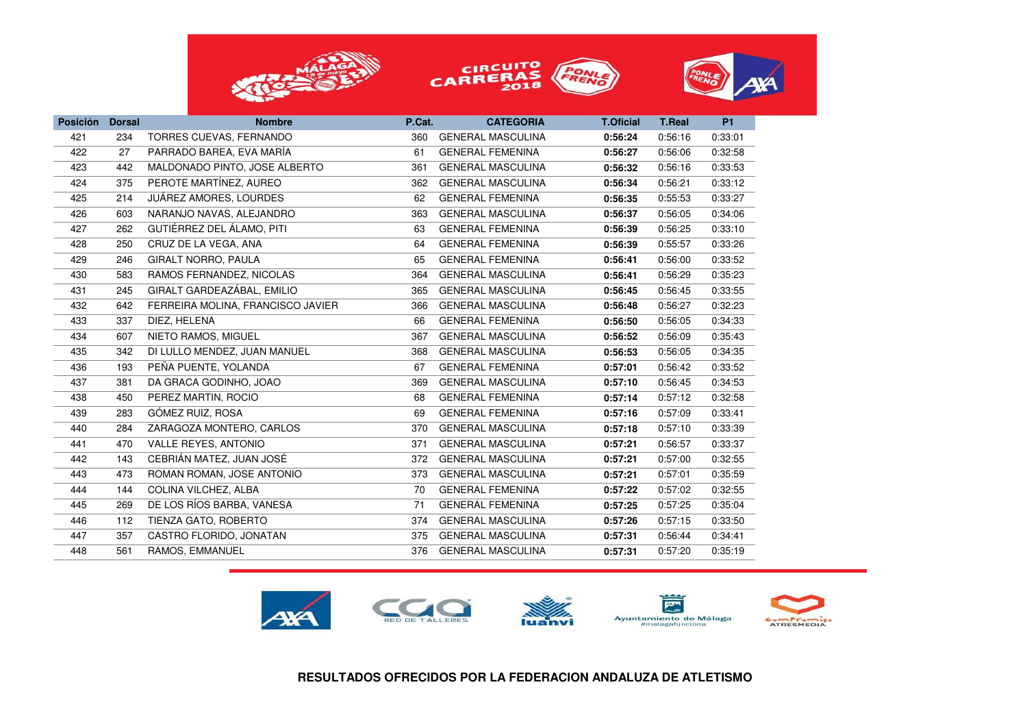





| <b>Posición</b> | <b>Dorsal</b> | <b>Nombre</b>                     | P.Cat. | <b>CATEGORIA</b>         | <b>T.Oficial</b> | <b>T.Real</b> | <b>P1</b> |
|-----------------|---------------|-----------------------------------|--------|--------------------------|------------------|---------------|-----------|
| 421             | 234           | TORRES CUEVAS, FERNANDO           | 360    | <b>GENERAL MASCULINA</b> | 0:56:24          | 0:56:16       | 0:33:01   |
| 422             | 27            | PARRADO BAREA, EVA MARÍA          | 61     | <b>GENERAL FEMENINA</b>  | 0:56:27          | 0:56:06       | 0:32:58   |
| 423             | 442           | MALDONADO PINTO, JOSE ALBERTO     | 361    | <b>GENERAL MASCULINA</b> | 0:56:32          | 0:56:16       | 0:33:53   |
| 424             | 375           | PEROTE MARTÍNEZ, AUREO            | 362    | <b>GENERAL MASCULINA</b> | 0:56:34          | 0:56:21       | 0:33:12   |
| 425             | 214           | JUÁREZ AMORES, LOURDES            | 62     | <b>GENERAL FEMENINA</b>  | 0:56:35          | 0:55:53       | 0:33:27   |
| 426             | 603           | NARANJO NAVAS, ALEJANDRO          | 363    | <b>GENERAL MASCULINA</b> | 0:56:37          | 0:56:05       | 0:34:06   |
| 427             | 262           | GUTIÉRREZ DEL ÁLAMO, PITI         | 63     | <b>GENERAL FEMENINA</b>  | 0:56:39          | 0:56:25       | 0:33:10   |
| 428             | 250           | CRUZ DE LA VEGA, ANA              | 64     | <b>GENERAL FEMENINA</b>  | 0:56:39          | 0:55:57       | 0:33:26   |
| 429             | 246           | <b>GIRALT NORRO, PAULA</b>        | 65     | <b>GENERAL FEMENINA</b>  | 0:56:41          | 0:56:00       | 0:33:52   |
| 430             | 583           | RAMOS FERNANDEZ, NICOLAS          | 364    | <b>GENERAL MASCULINA</b> | 0:56:41          | 0:56:29       | 0:35:23   |
| 431             | 245           | GIRALT GARDEAZÁBAL, EMILIO        | 365    | <b>GENERAL MASCULINA</b> | 0:56:45          | 0:56:45       | 0:33:55   |
| 432             | 642           | FERREIRA MOLINA, FRANCISCO JAVIER | 366    | <b>GENERAL MASCULINA</b> | 0:56:48          | 0:56:27       | 0:32:23   |
| 433             | 337           | DIEZ, HELENA                      | 66     | <b>GENERAL FEMENINA</b>  | 0:56:50          | 0:56:05       | 0:34:33   |
| 434             | 607           | NIETO RAMOS, MIGUEL               | 367    | <b>GENERAL MASCULINA</b> | 0:56:52          | 0:56:09       | 0:35:43   |
| 435             | 342           | DI LULLO MENDEZ, JUAN MANUEL      | 368    | <b>GENERAL MASCULINA</b> | 0:56:53          | 0:56:05       | 0:34:35   |
| 436             | 193           | PEÑA PUENTE, YOLANDA              | 67     | <b>GENERAL FEMENINA</b>  | 0:57:01          | 0:56:42       | 0:33:52   |
| 437             | 381           | DA GRACA GODINHO, JOAO            | 369    | <b>GENERAL MASCULINA</b> | 0:57:10          | 0:56:45       | 0:34:53   |
| 438             | 450           | PEREZ MARTIN, ROCIO               | 68     | <b>GENERAL FEMENINA</b>  | 0:57:14          | 0:57:12       | 0:32:58   |
| 439             | 283           | GÓMEZ RUIZ, ROSA                  | 69     | <b>GENERAL FEMENINA</b>  | 0:57:16          | 0:57:09       | 0:33:41   |
| 440             | 284           | ZARAGOZA MONTERO, CARLOS          | 370    | <b>GENERAL MASCULINA</b> | 0:57:18          | 0:57:10       | 0:33:39   |
| 441             | 470           | <b>VALLE REYES, ANTONIO</b>       | 371    | <b>GENERAL MASCULINA</b> | 0:57:21          | 0:56:57       | 0:33:37   |
| 442             | 143           | CEBRIÁN MATEZ, JUAN JOSÉ          | 372    | <b>GENERAL MASCULINA</b> | 0:57:21          | 0:57:00       | 0:32:55   |
| 443             | 473           | ROMAN ROMAN, JOSE ANTONIO         | 373    | <b>GENERAL MASCULINA</b> | 0:57:21          | 0:57:01       | 0:35:59   |
| 444             | 144           | COLINA VILCHEZ, ALBA              | 70     | <b>GENERAL FEMENINA</b>  | 0:57:22          | 0:57:02       | 0:32:55   |
| 445             | 269           | DE LOS RÍOS BARBA, VANESA         | 71     | <b>GENERAL FEMENINA</b>  | 0:57:25          | 0:57:25       | 0:35:04   |
| 446             | 112           | TIENZA GATO, ROBERTO              | 374    | <b>GENERAL MASCULINA</b> | 0:57:26          | 0:57:15       | 0:33:50   |
| 447             | 357           | CASTRO FLORIDO, JONATAN           | 375    | <b>GENERAL MASCULINA</b> | 0:57:31          | 0:56:44       | 0:34:41   |
| 448             | 561           | RAMOS, EMMANUEL                   | 376    | <b>GENERAL MASCULINA</b> | 0:57:31          | 0:57:20       | 0:35:19   |
|                 |               |                                   |        |                          |                  |               |           |

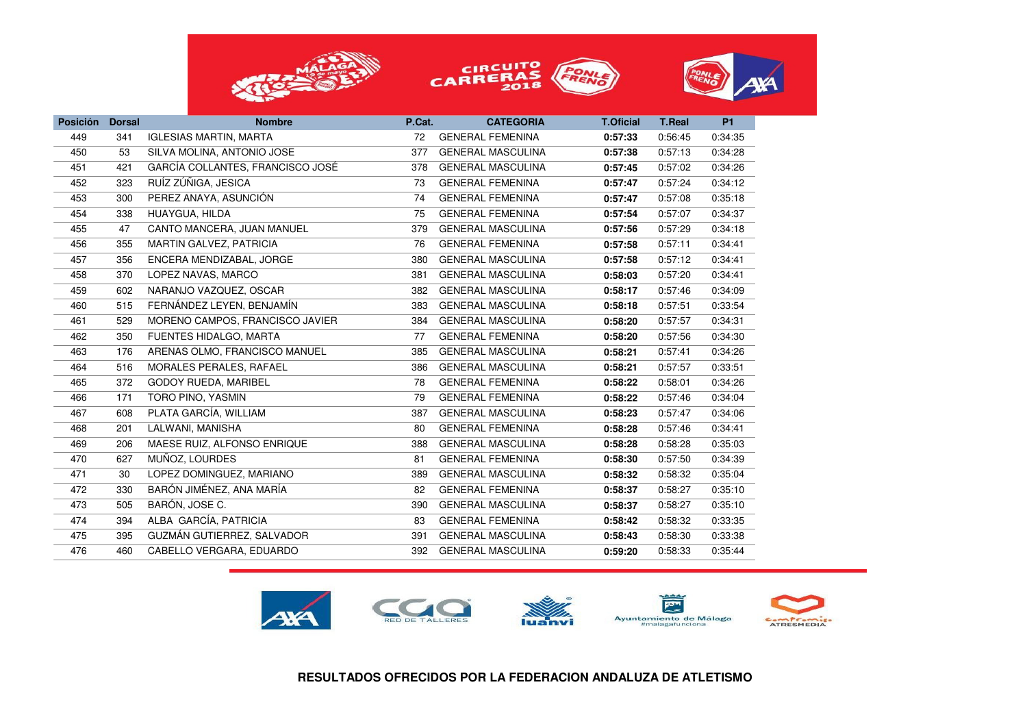





| <b>Posición</b> | <b>Dorsal</b> | <b>Nombre</b>                    | P.Cat. | <b>CATEGORIA</b>         | <b>T.Oficial</b> | <b>T.Real</b> | <b>P1</b> |
|-----------------|---------------|----------------------------------|--------|--------------------------|------------------|---------------|-----------|
| 449             | 341           | <b>IGLESIAS MARTIN, MARTA</b>    | 72     | <b>GENERAL FEMENINA</b>  | 0:57:33          | 0:56:45       | 0:34:35   |
| 450             | 53            | SILVA MOLINA, ANTONIO JOSE       | 377    | <b>GENERAL MASCULINA</b> | 0:57:38          | 0:57:13       | 0:34:28   |
| 451             | 421           | GARCÍA COLLANTES, FRANCISCO JOSÉ | 378    | <b>GENERAL MASCULINA</b> | 0:57:45          | 0:57:02       | 0:34:26   |
| 452             | 323           | RUÍZ ZÚÑIGA, JESICA              | 73     | <b>GENERAL FEMENINA</b>  | 0:57:47          | 0:57:24       | 0:34:12   |
| 453             | 300           | PEREZ ANAYA, ASUNCIÓN            | 74     | <b>GENERAL FEMENINA</b>  | 0:57:47          | 0:57:08       | 0:35:18   |
| 454             | 338           | HUAYGUA, HILDA                   | 75     | <b>GENERAL FEMENINA</b>  | 0:57:54          | 0:57:07       | 0:34:37   |
| 455             | 47            | CANTO MANCERA, JUAN MANUEL       | 379    | <b>GENERAL MASCULINA</b> | 0:57:56          | 0:57:29       | 0:34:18   |
| 456             | 355           | MARTIN GALVEZ, PATRICIA          | 76     | <b>GENERAL FEMENINA</b>  | 0:57:58          | 0:57:11       | 0:34:41   |
| 457             | 356           | ENCERA MENDIZABAL, JORGE         | 380    | <b>GENERAL MASCULINA</b> | 0:57:58          | 0:57:12       | 0:34:41   |
| 458             | 370           | LOPEZ NAVAS, MARCO               | 381    | <b>GENERAL MASCULINA</b> | 0:58:03          | 0:57:20       | 0:34:41   |
| 459             | 602           | NARANJO VAZQUEZ, OSCAR           | 382    | <b>GENERAL MASCULINA</b> | 0:58:17          | 0:57:46       | 0:34:09   |
| 460             | 515           | FERNÁNDEZ LEYEN, BENJAMÍN        | 383    | <b>GENERAL MASCULINA</b> | 0:58:18          | 0:57:51       | 0:33:54   |
| 461             | 529           | MORENO CAMPOS, FRANCISCO JAVIER  | 384    | <b>GENERAL MASCULINA</b> | 0:58:20          | 0:57:57       | 0:34:31   |
| 462             | 350           | FUENTES HIDALGO, MARTA           | 77     | <b>GENERAL FEMENINA</b>  | 0:58:20          | 0:57:56       | 0:34:30   |
| 463             | 176           | ARENAS OLMO, FRANCISCO MANUEL    | 385    | <b>GENERAL MASCULINA</b> | 0:58:21          | 0:57:41       | 0:34:26   |
| 464             | 516           | MORALES PERALES, RAFAEL          | 386    | <b>GENERAL MASCULINA</b> | 0:58:21          | 0:57:57       | 0:33:51   |
| 465             | 372           | <b>GODOY RUEDA, MARIBEL</b>      | 78     | <b>GENERAL FEMENINA</b>  | 0:58:22          | 0:58:01       | 0:34:26   |
| 466             | 171           | TORO PINO, YASMIN                | 79     | <b>GENERAL FEMENINA</b>  | 0:58:22          | 0:57:46       | 0:34:04   |
| 467             | 608           | PLATA GARCÍA, WILLIAM            | 387    | <b>GENERAL MASCULINA</b> | 0:58:23          | 0:57:47       | 0:34:06   |
| 468             | 201           | LALWANI, MANISHA                 | 80     | <b>GENERAL FEMENINA</b>  | 0:58:28          | 0:57:46       | 0:34:41   |
| 469             | 206           | MAESE RUIZ, ALFONSO ENRIQUE      | 388    | <b>GENERAL MASCULINA</b> | 0:58:28          | 0:58:28       | 0:35:03   |
| 470             | 627           | MUÑOZ, LOURDES                   | 81     | <b>GENERAL FEMENINA</b>  | 0:58:30          | 0:57:50       | 0:34:39   |
| 471             | 30            | LOPEZ DOMINGUEZ, MARIANO         | 389    | <b>GENERAL MASCULINA</b> | 0:58:32          | 0:58:32       | 0:35:04   |
| 472             | 330           | BARÓN JIMÉNEZ, ANA MARÍA         | 82     | <b>GENERAL FEMENINA</b>  | 0:58:37          | 0:58:27       | 0:35:10   |
| 473             | 505           | BARÓN, JOSE C.                   | 390    | <b>GENERAL MASCULINA</b> | 0:58:37          | 0:58:27       | 0:35:10   |
| 474             | 394           | ALBA GARCÍA, PATRICIA            | 83     | <b>GENERAL FEMENINA</b>  | 0:58:42          | 0:58:32       | 0:33:35   |
| 475             | 395           | GUZMÁN GUTIERREZ, SALVADOR       | 391    | <b>GENERAL MASCULINA</b> | 0:58:43          | 0:58:30       | 0:33:38   |
| 476             | 460           | CABELLO VERGARA, EDUARDO         | 392    | <b>GENERAL MASCULINA</b> | 0:59:20          | 0:58:33       | 0:35:44   |
|                 |               |                                  |        |                          |                  |               |           |

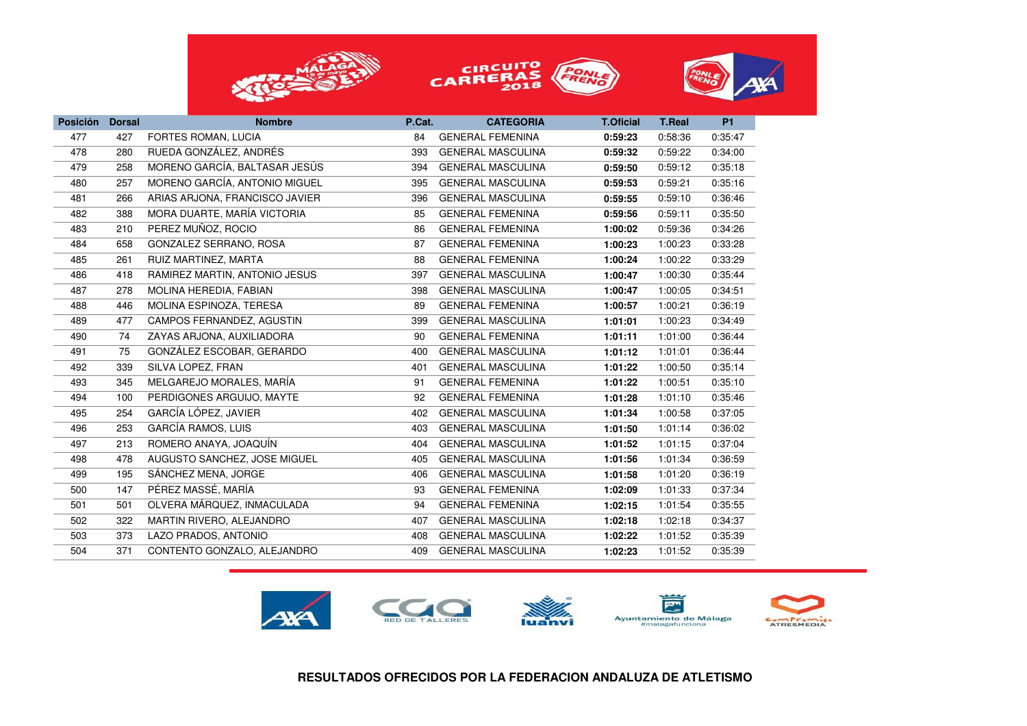





| <b>Posición</b> | <b>Dorsal</b> | <b>Nombre</b>                  | P.Cat. | <b>CATEGORIA</b>         | <b>T.Oficial</b> | <b>T.Real</b> | <b>P1</b> |
|-----------------|---------------|--------------------------------|--------|--------------------------|------------------|---------------|-----------|
| 477             | 427           | FORTES ROMAN, LUCIA            | 84     | <b>GENERAL FEMENINA</b>  | 0:59:23          | 0:58:36       | 0:35:47   |
| 478             | 280           | RUEDA GONZÁLEZ, ANDRÉS         | 393    | <b>GENERAL MASCULINA</b> | 0:59:32          | 0:59:22       | 0:34:00   |
| 479             | 258           | MORENO GARCÍA, BALTASAR JESÚS  | 394    | <b>GENERAL MASCULINA</b> | 0:59:50          | 0:59:12       | 0:35:18   |
| 480             | 257           | MORENO GARCÍA, ANTONIO MIGUEL  | 395    | <b>GENERAL MASCULINA</b> | 0:59:53          | 0:59:21       | 0:35:16   |
| 481             | 266           | ARIAS ARJONA, FRANCISCO JAVIER | 396    | <b>GENERAL MASCULINA</b> | 0:59:55          | 0:59:10       | 0:36:46   |
| 482             | 388           | MORA DUARTE, MARÍA VICTORIA    | 85     | <b>GENERAL FEMENINA</b>  | 0:59:56          | 0:59:11       | 0:35:50   |
| 483             | 210           | PEREZ MUÑOZ, ROCIO             | 86     | <b>GENERAL FEMENINA</b>  | 1:00:02          | 0:59:36       | 0:34:26   |
| 484             | 658           | GONZALEZ SERRANO, ROSA         | 87     | <b>GENERAL FEMENINA</b>  | 1:00:23          | 1:00:23       | 0:33:28   |
| 485             | 261           | RUIZ MARTINEZ, MARTA           | 88     | <b>GENERAL FEMENINA</b>  | 1:00:24          | 1:00:22       | 0:33:29   |
| 486             | 418           | RAMIREZ MARTIN, ANTONIO JESUS  | 397    | <b>GENERAL MASCULINA</b> | 1:00:47          | 1:00:30       | 0:35:44   |
| 487             | 278           | MOLINA HEREDIA, FABIAN         | 398    | <b>GENERAL MASCULINA</b> | 1:00:47          | 1:00:05       | 0:34:51   |
| 488             | 446           | MOLINA ESPINOZA, TERESA        | 89     | <b>GENERAL FEMENINA</b>  | 1:00:57          | 1:00:21       | 0:36:19   |
| 489             | 477           | CAMPOS FERNANDEZ, AGUSTIN      | 399    | <b>GENERAL MASCULINA</b> | 1:01:01          | 1:00:23       | 0:34:49   |
| 490             | 74            | ZAYAS ARJONA, AUXILIADORA      | 90     | <b>GENERAL FEMENINA</b>  | 1:01:11          | 1:01:00       | 0:36:44   |
| 491             | 75            | GONZÁLEZ ESCOBAR, GERARDO      | 400    | <b>GENERAL MASCULINA</b> | 1:01:12          | 1:01:01       | 0:36:44   |
| 492             | 339           | SILVA LOPEZ, FRAN              | 401    | <b>GENERAL MASCULINA</b> | 1:01:22          | 1:00:50       | 0:35:14   |
| 493             | 345           | MELGAREJO MORALES, MARÍA       | 91     | <b>GENERAL FEMENINA</b>  | 1:01:22          | 1:00:51       | 0:35:10   |
| 494             | 100           | PERDIGONES ARGUIJO, MAYTE      | 92     | <b>GENERAL FEMENINA</b>  | 1:01:28          | 1:01:10       | 0:35:46   |
| 495             | 254           | GARCÍA LÓPEZ, JAVIER           | 402    | <b>GENERAL MASCULINA</b> | 1:01:34          | 1:00:58       | 0:37:05   |
| 496             | 253           | <b>GARCÍA RAMOS, LUIS</b>      | 403    | <b>GENERAL MASCULINA</b> | 1:01:50          | 1:01:14       | 0:36:02   |
| 497             | 213           | ROMERO ANAYA, JOAQUÍN          | 404    | <b>GENERAL MASCULINA</b> | 1:01:52          | 1:01:15       | 0:37:04   |
| 498             | 478           | AUGUSTO SANCHEZ, JOSE MIGUEL   | 405    | <b>GENERAL MASCULINA</b> | 1:01:56          | 1:01:34       | 0:36:59   |
| 499             | 195           | SÁNCHEZ MENA, JORGE            | 406    | <b>GENERAL MASCULINA</b> | 1:01:58          | 1:01:20       | 0:36:19   |
| 500             | 147           | PÉREZ MASSÉ, MARÍA             | 93     | <b>GENERAL FEMENINA</b>  | 1:02:09          | 1:01:33       | 0:37:34   |
| 501             | 501           | OLVERA MÁRQUEZ, INMACULADA     | 94     | <b>GENERAL FEMENINA</b>  | 1:02:15          | 1:01:54       | 0:35:55   |
| 502             | 322           | MARTIN RIVERO, ALEJANDRO       | 407    | <b>GENERAL MASCULINA</b> | 1:02:18          | 1:02:18       | 0:34:37   |
| 503             | 373           | LAZO PRADOS, ANTONIO           | 408    | <b>GENERAL MASCULINA</b> | 1:02:22          | 1:01:52       | 0:35:39   |
| 504             | 371           | CONTENTO GONZALO, ALEJANDRO    | 409    | <b>GENERAL MASCULINA</b> | 1:02:23          | 1:01:52       | 0:35:39   |
|                 |               |                                |        |                          |                  |               |           |

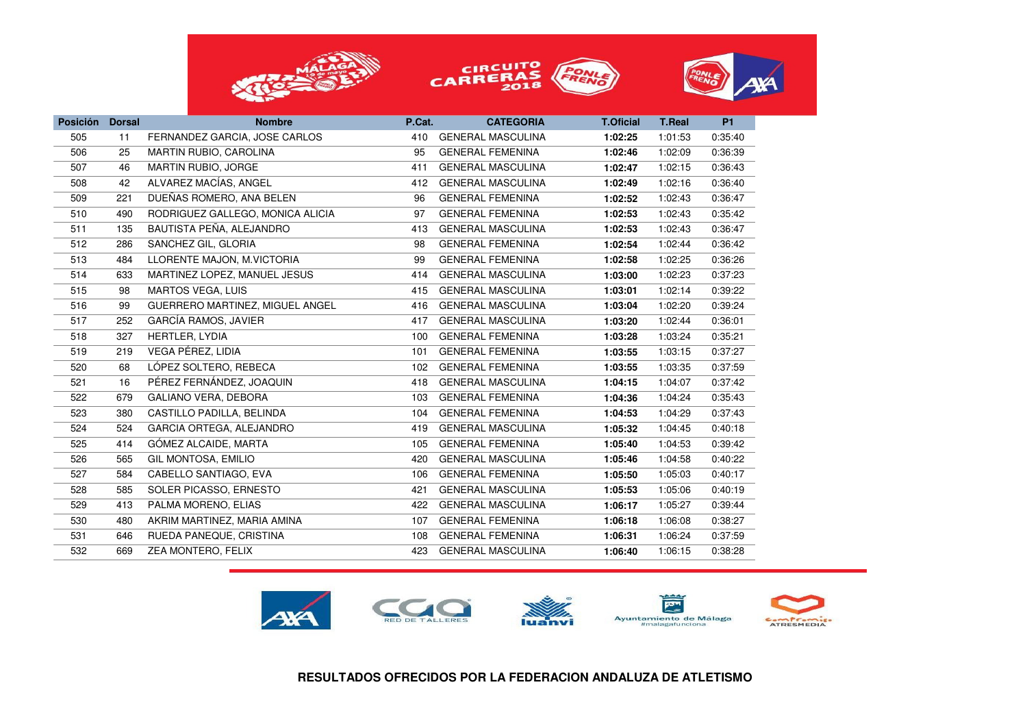





| <b>Posición</b> | <b>Dorsal</b> | <b>Nombre</b>                    | P.Cat. | <b>CATEGORIA</b>         | <b>T.Oficial</b> | <b>T.Real</b> | <b>P1</b> |
|-----------------|---------------|----------------------------------|--------|--------------------------|------------------|---------------|-----------|
| 505             | 11            | FERNANDEZ GARCIA, JOSE CARLOS    | 410    | <b>GENERAL MASCULINA</b> | 1:02:25          | 1:01:53       | 0:35:40   |
| 506             | 25            | <b>MARTIN RUBIO, CAROLINA</b>    | 95     | <b>GENERAL FEMENINA</b>  | 1:02:46          | 1:02:09       | 0:36:39   |
| 507             | 46            | MARTIN RUBIO, JORGE              | 411    | <b>GENERAL MASCULINA</b> | 1:02:47          | 1:02:15       | 0:36:43   |
| 508             | 42            | ALVAREZ MACÍAS, ANGEL            | 412    | <b>GENERAL MASCULINA</b> | 1:02:49          | 1:02:16       | 0:36:40   |
| 509             | 221           | DUEÑAS ROMERO, ANA BELEN         | 96     | <b>GENERAL FEMENINA</b>  | 1:02:52          | 1:02:43       | 0:36:47   |
| 510             | 490           | RODRIGUEZ GALLEGO, MONICA ALICIA | 97     | <b>GENERAL FEMENINA</b>  | 1:02:53          | 1:02:43       | 0:35:42   |
| 511             | 135           | BAUTISTA PEÑA, ALEJANDRO         | 413    | <b>GENERAL MASCULINA</b> | 1:02:53          | 1:02:43       | 0:36:47   |
| 512             | 286           | SANCHEZ GIL, GLORIA              | 98     | <b>GENERAL FEMENINA</b>  | 1:02:54          | 1:02:44       | 0:36:42   |
| 513             | 484           | LLORENTE MAJON, M.VICTORIA       | 99     | <b>GENERAL FEMENINA</b>  | 1:02:58          | 1:02:25       | 0:36:26   |
| 514             | 633           | MARTINEZ LOPEZ, MANUEL JESUS     | 414    | <b>GENERAL MASCULINA</b> | 1:03:00          | 1:02:23       | 0:37:23   |
| 515             | 98            | MARTOS VEGA, LUIS                | 415    | <b>GENERAL MASCULINA</b> | 1:03:01          | 1:02:14       | 0:39:22   |
| 516             | 99            | GUERRERO MARTINEZ, MIGUEL ANGEL  | 416    | <b>GENERAL MASCULINA</b> | 1:03:04          | 1:02:20       | 0:39:24   |
| 517             | 252           | <b>GARCÍA RAMOS, JAVIER</b>      | 417    | <b>GENERAL MASCULINA</b> | 1:03:20          | 1:02:44       | 0:36:01   |
| 518             | 327           | HERTLER, LYDIA                   | 100    | <b>GENERAL FEMENINA</b>  | 1:03:28          | 1:03:24       | 0:35:21   |
| 519             | 219           | VEGA PÉREZ, LIDIA                | 101    | <b>GENERAL FEMENINA</b>  | 1:03:55          | 1:03:15       | 0:37:27   |
| 520             | 68            | LÓPEZ SOLTERO. REBECA            | 102    | <b>GENERAL FEMENINA</b>  | 1:03:55          | 1:03:35       | 0:37:59   |
| 521             | 16            | PÉREZ FERNÁNDEZ, JOAQUIN         | 418    | <b>GENERAL MASCULINA</b> | 1:04:15          | 1:04:07       | 0:37:42   |
| 522             | 679           | GALIANO VERA, DEBORA             | 103    | <b>GENERAL FEMENINA</b>  | 1:04:36          | 1:04:24       | 0:35:43   |
| 523             | 380           | CASTILLO PADILLA, BELINDA        | 104    | <b>GENERAL FEMENINA</b>  | 1:04:53          | 1:04:29       | 0:37:43   |
| 524             | 524           | GARCIA ORTEGA, ALEJANDRO         | 419    | <b>GENERAL MASCULINA</b> | 1:05:32          | 1:04:45       | 0:40:18   |
| 525             | 414           | GÓMEZ ALCAIDE, MARTA             | 105    | <b>GENERAL FEMENINA</b>  | 1:05:40          | 1:04:53       | 0:39:42   |
| 526             | 565           | GIL MONTOSA, EMILIO              | 420    | <b>GENERAL MASCULINA</b> | 1:05:46          | 1:04:58       | 0:40:22   |
| 527             | 584           | CABELLO SANTIAGO, EVA            | 106    | <b>GENERAL FEMENINA</b>  | 1:05:50          | 1:05:03       | 0:40:17   |
| 528             | 585           | SOLER PICASSO, ERNESTO           | 421    | <b>GENERAL MASCULINA</b> | 1:05:53          | 1:05:06       | 0:40:19   |
| 529             | 413           | PALMA MORENO, ELIAS              | 422    | <b>GENERAL MASCULINA</b> | 1:06:17          | 1:05:27       | 0:39:44   |
| 530             | 480           | AKRIM MARTINEZ, MARIA AMINA      | 107    | <b>GENERAL FEMENINA</b>  | 1:06:18          | 1:06:08       | 0:38:27   |
| 531             | 646           | RUEDA PANEQUE, CRISTINA          | 108    | <b>GENERAL FEMENINA</b>  | 1:06:31          | 1:06:24       | 0:37:59   |
| 532             | 669           | ZEA MONTERO, FELIX               | 423    | <b>GENERAL MASCULINA</b> | 1:06:40          | 1:06:15       | 0:38:28   |
|                 |               |                                  |        |                          |                  |               |           |